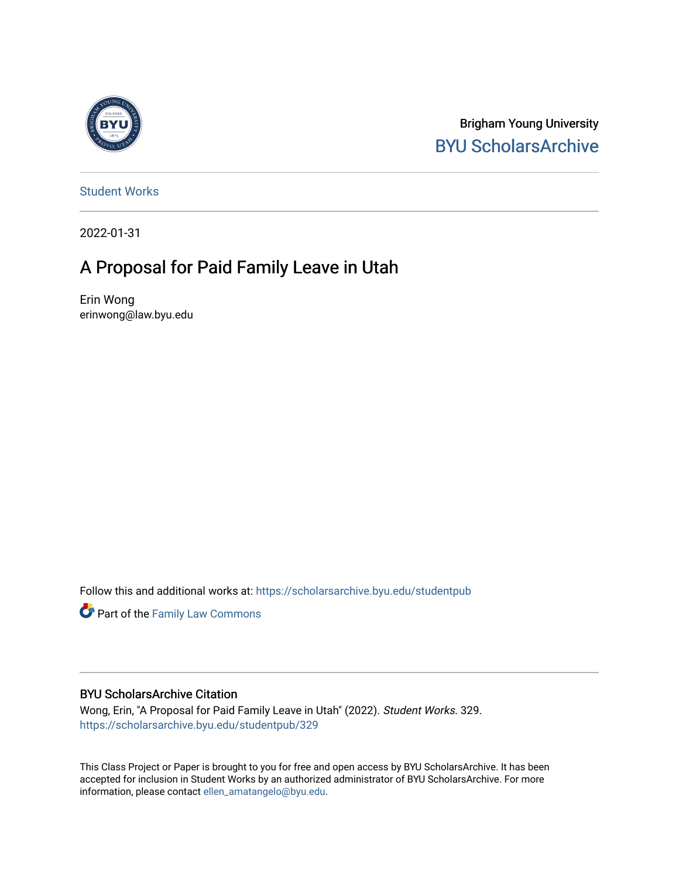

Brigham Young University [BYU ScholarsArchive](https://scholarsarchive.byu.edu/) 

[Student Works](https://scholarsarchive.byu.edu/studentpub)

2022-01-31

# A Proposal for Paid Family Leave in Utah

Erin Wong erinwong@law.byu.edu

Follow this and additional works at: [https://scholarsarchive.byu.edu/studentpub](https://scholarsarchive.byu.edu/studentpub?utm_source=scholarsarchive.byu.edu%2Fstudentpub%2F329&utm_medium=PDF&utm_campaign=PDFCoverPages)

Part of the [Family Law Commons](http://network.bepress.com/hgg/discipline/602?utm_source=scholarsarchive.byu.edu%2Fstudentpub%2F329&utm_medium=PDF&utm_campaign=PDFCoverPages) 

## BYU ScholarsArchive Citation

Wong, Erin, "A Proposal for Paid Family Leave in Utah" (2022). Student Works. 329. [https://scholarsarchive.byu.edu/studentpub/329](https://scholarsarchive.byu.edu/studentpub/329?utm_source=scholarsarchive.byu.edu%2Fstudentpub%2F329&utm_medium=PDF&utm_campaign=PDFCoverPages)

This Class Project or Paper is brought to you for free and open access by BYU ScholarsArchive. It has been accepted for inclusion in Student Works by an authorized administrator of BYU ScholarsArchive. For more information, please contact [ellen\\_amatangelo@byu.edu.](mailto:ellen_amatangelo@byu.edu)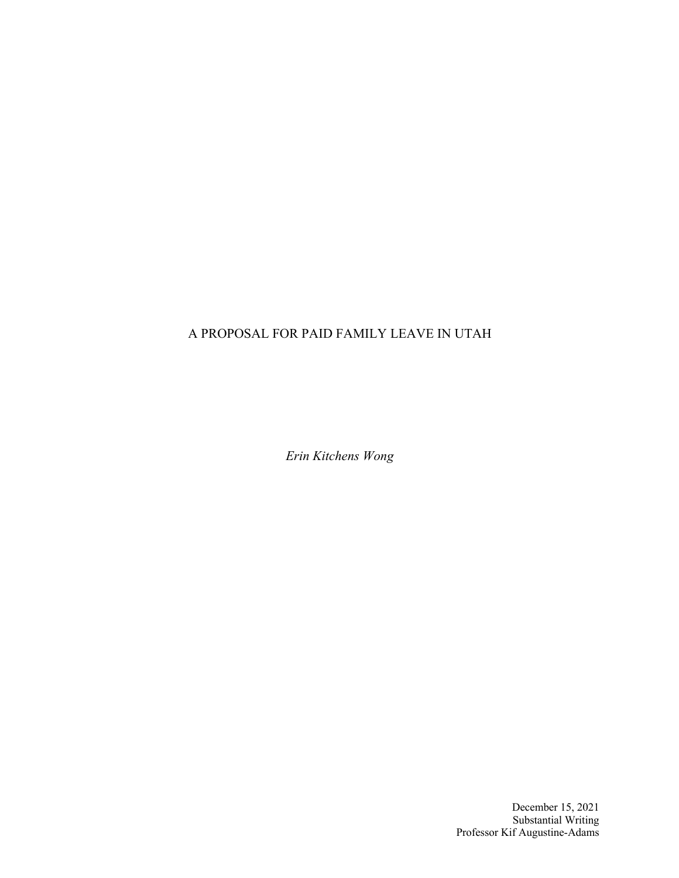# A PROPOSAL FOR PAID FAMILY LEAVE IN UTAH

*Erin Kitchens Wong*

December 15, 2021 Substantial Writing Professor Kif Augustine-Adams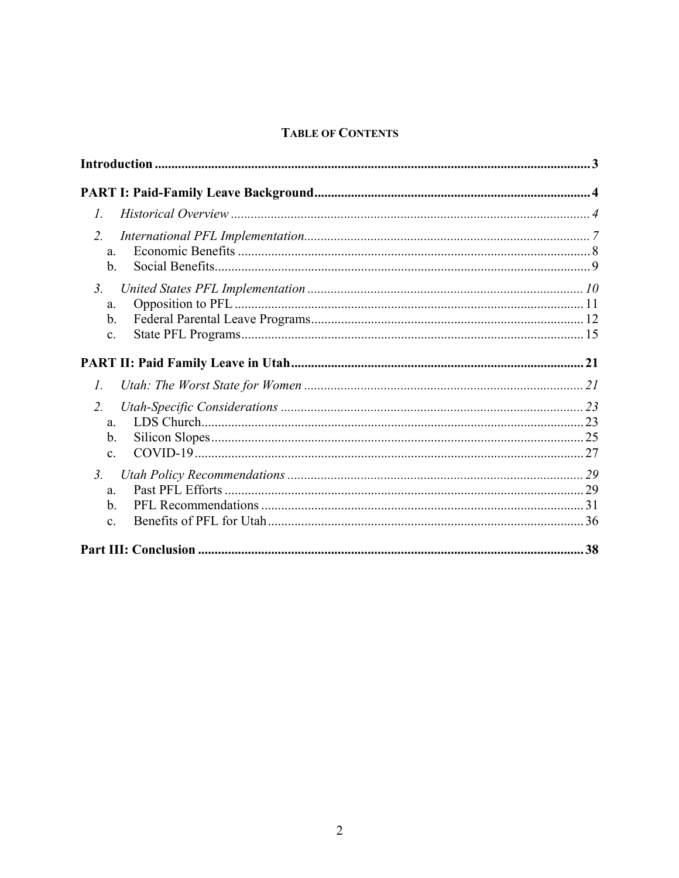# **TABLE OF CONTENTS**

| $\mathcal{I}$ .                             |  |
|---------------------------------------------|--|
| 2.<br>a.<br>b.                              |  |
| 3 <sub>l</sub><br>a.<br>$\mathbf b$ .       |  |
| c.                                          |  |
| $\mathcal{I}$ .                             |  |
| 2.<br>a.<br>$\mathbf b$ .<br>$\mathbf{c}$ . |  |
| 3 <sub>l</sub><br>a.                        |  |
| $\mathbf b$ .<br>$\mathbf{c}$ .             |  |
|                                             |  |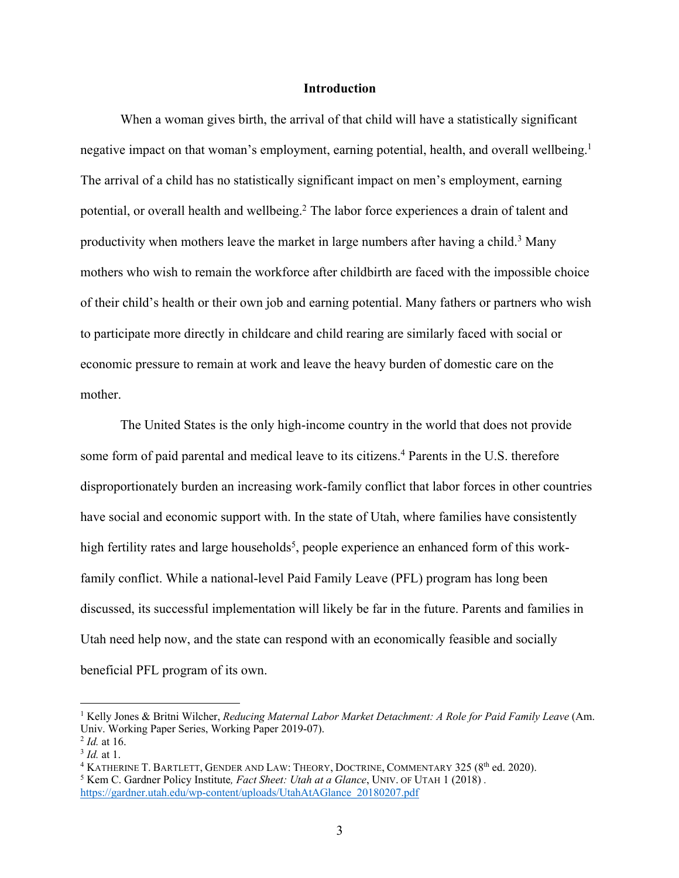#### **Introduction**

When a woman gives birth, the arrival of that child will have a statistically significant negative impact on that woman's employment, earning potential, health, and overall wellbeing.<sup>1</sup> The arrival of a child has no statistically significant impact on men's employment, earning potential, or overall health and wellbeing.<sup>2</sup> The labor force experiences a drain of talent and productivity when mothers leave the market in large numbers after having a child.<sup>3</sup> Many mothers who wish to remain the workforce after childbirth are faced with the impossible choice of their child's health or their own job and earning potential. Many fathers or partners who wish to participate more directly in childcare and child rearing are similarly faced with social or economic pressure to remain at work and leave the heavy burden of domestic care on the mother.

The United States is the only high-income country in the world that does not provide some form of paid parental and medical leave to its citizens. <sup>4</sup> Parents in the U.S. therefore disproportionately burden an increasing work-family conflict that labor forces in other countries have social and economic support with. In the state of Utah, where families have consistently high fertility rates and large households<sup>5</sup>, people experience an enhanced form of this workfamily conflict. While a national-level Paid Family Leave (PFL) program has long been discussed, its successful implementation will likely be far in the future. Parents and families in Utah need help now, and the state can respond with an economically feasible and socially beneficial PFL program of its own.

<sup>1</sup> Kelly Jones & Britni Wilcher, *Reducing Maternal Labor Market Detachment: A Role for Paid Family Leave* (Am. Univ. Working Paper Series, Working Paper 2019-07).<br>
<sup>2</sup> *Id.* at 16.<br>
<sup>3</sup> *Id.* at 1.<br>
<sup>4</sup> KATHERINE T. BARTLETT, GENDER AND LAW: THEORY, DOCTRINE, COMMENTARY 325 (8<sup>th</sup> ed. 2020).

<sup>5</sup> Kem C. Gardner Policy Institute*, Fact Sheet: Utah at a Glance*, UNIV. OF UTAH 1 (2018) *.*

https://gardner.utah.edu/wp-content/uploads/UtahAtAGlance\_20180207.pdf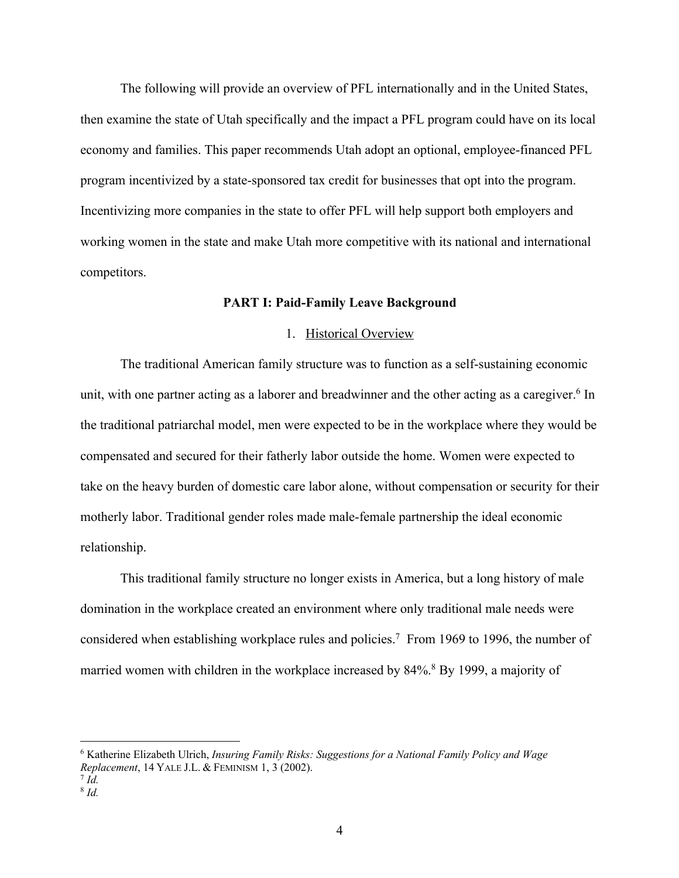The following will provide an overview of PFL internationally and in the United States, then examine the state of Utah specifically and the impact a PFL program could have on its local economy and families. This paper recommends Utah adopt an optional, employee-financed PFL program incentivized by a state-sponsored tax credit for businesses that opt into the program. Incentivizing more companies in the state to offer PFL will help support both employers and working women in the state and make Utah more competitive with its national and international competitors.

#### **PART I: Paid-Family Leave Background**

#### 1. Historical Overview

The traditional American family structure was to function as a self-sustaining economic unit, with one partner acting as a laborer and breadwinner and the other acting as a caregiver.<sup>6</sup> In the traditional patriarchal model, men were expected to be in the workplace where they would be compensated and secured for their fatherly labor outside the home. Women were expected to take on the heavy burden of domestic care labor alone, without compensation or security for their motherly labor. Traditional gender roles made male-female partnership the ideal economic relationship.

This traditional family structure no longer exists in America, but a long history of male domination in the workplace created an environment where only traditional male needs were considered when establishing workplace rules and policies.7 From 1969 to 1996, the number of married women with children in the workplace increased by 84%.<sup>8</sup> By 1999, a majority of

<sup>6</sup> Katherine Elizabeth Ulrich, *Insuring Family Risks: Suggestions for a National Family Policy and Wage Replacement*, 14 YALE J.L. & FEMINISM 1, 3 (2002). 7 *Id.* 

<sup>8</sup> *Id.*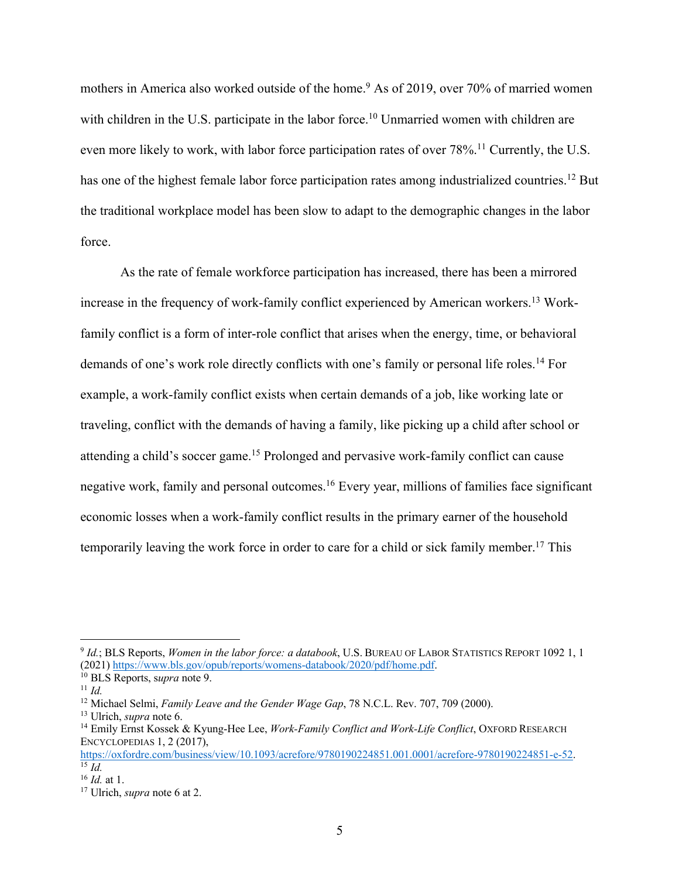mothers in America also worked outside of the home.<sup>9</sup> As of 2019, over 70% of married women with children in the U.S. participate in the labor force.<sup>10</sup> Unmarried women with children are even more likely to work, with labor force participation rates of over 78%.<sup>11</sup> Currently, the U.S. has one of the highest female labor force participation rates among industrialized countries.<sup>12</sup> But the traditional workplace model has been slow to adapt to the demographic changes in the labor force.

As the rate of female workforce participation has increased, there has been a mirrored increase in the frequency of work-family conflict experienced by American workers.13 Workfamily conflict is a form of inter-role conflict that arises when the energy, time, or behavioral demands of one's work role directly conflicts with one's family or personal life roles.<sup>14</sup> For example, a work-family conflict exists when certain demands of a job, like working late or traveling, conflict with the demands of having a family, like picking up a child after school or attending a child's soccer game.15 Prolonged and pervasive work-family conflict can cause negative work, family and personal outcomes.<sup>16</sup> Every year, millions of families face significant economic losses when a work-family conflict results in the primary earner of the household temporarily leaving the work force in order to care for a child or sick family member.<sup>17</sup> This

<sup>9</sup> *Id.*; BLS Reports, *Women in the labor force: a databook*, U.S. BUREAU OF LABOR STATISTICS REPORT 1092 1, 1 (2021) https://www.bls.gov/opub/reports/womens-databook/2020/pdf/home.pdf.<br><sup>10</sup> BLS Reports, *supra* note 9.<br><sup>11</sup> *Id.*<br><sup>12</sup> Michael Selmi, *Family Leave and the Gender Wage Gap*, 78 N.C.L. Rev. 707, 709 (2000).

<sup>&</sup>lt;sup>13</sup> Ulrich, *supra* note 6.<br><sup>14</sup> Emily Ernst Kossek & Kyung-Hee Lee, *Work-Family Conflict and Work-Life Conflict*, OXFORD RESEARCH ENCYCLOPEDIAS 1, 2 (2017),

https://oxfordre.com/business/view/10.1093/acrefore/9780190224851.001.0001/acrefore-9780190224851-e-52. 15 *Id.* 

<sup>16</sup> *Id.* at 1. 17 Ulrich, *supra* note 6 at 2.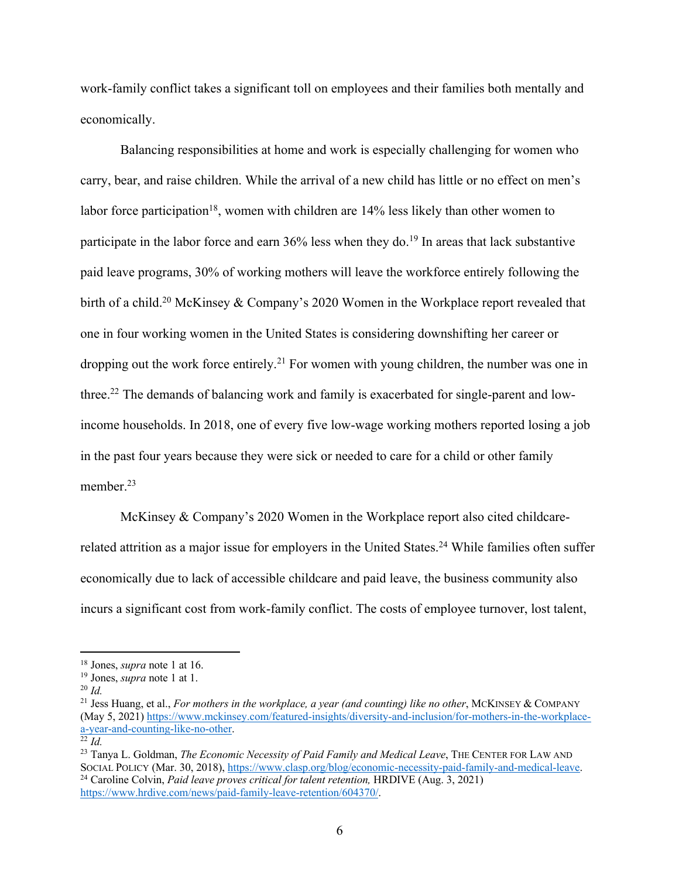work-family conflict takes a significant toll on employees and their families both mentally and economically.

Balancing responsibilities at home and work is especially challenging for women who carry, bear, and raise children. While the arrival of a new child has little or no effect on men's labor force participation<sup>18</sup>, women with children are  $14\%$  less likely than other women to participate in the labor force and earn  $36\%$  less when they do.<sup>19</sup> In areas that lack substantive paid leave programs, 30% of working mothers will leave the workforce entirely following the birth of a child.<sup>20</sup> McKinsey & Company's 2020 Women in the Workplace report revealed that one in four working women in the United States is considering downshifting her career or dropping out the work force entirely.<sup>21</sup> For women with young children, the number was one in three.<sup>22</sup> The demands of balancing work and family is exacerbated for single-parent and lowincome households. In 2018, one of every five low-wage working mothers reported losing a job in the past four years because they were sick or needed to care for a child or other family member.<sup>23</sup>

McKinsey & Company's 2020 Women in the Workplace report also cited childcarerelated attrition as a major issue for employers in the United States.<sup>24</sup> While families often suffer economically due to lack of accessible childcare and paid leave, the business community also incurs a significant cost from work-family conflict. The costs of employee turnover, lost talent,

<sup>18</sup> Jones, *supra* note 1 at 16. 19 Jones, *supra* note 1 at 1. 20 *Id.* 

<sup>&</sup>lt;sup>21</sup> Jess Huang, et al., *For mothers in the workplace, a year (and counting) like no other*, MCKINSEY & COMPANY (May 5, 2021) https://www.mckinsey.com/featured-insights/diversity-and-inclusion/for-mothers-in-the-workplacea-year-and-counting-like-no-other. 22 *Id.* 

<sup>23</sup> Tanya L. Goldman, *The Economic Necessity of Paid Family and Medical Leave*, THE CENTER FOR LAW AND SOCIAL POLICY (Mar. 30, 2018), https://www.clasp.org/blog/economic-necessity-paid-family-and-medical-leave. 24 Caroline Colvin, *Paid leave proves critical for talent retention,* HRDIVE (Aug. 3, 2021) https://www.hrdive.com/news/paid-family-leave-retention/604370/.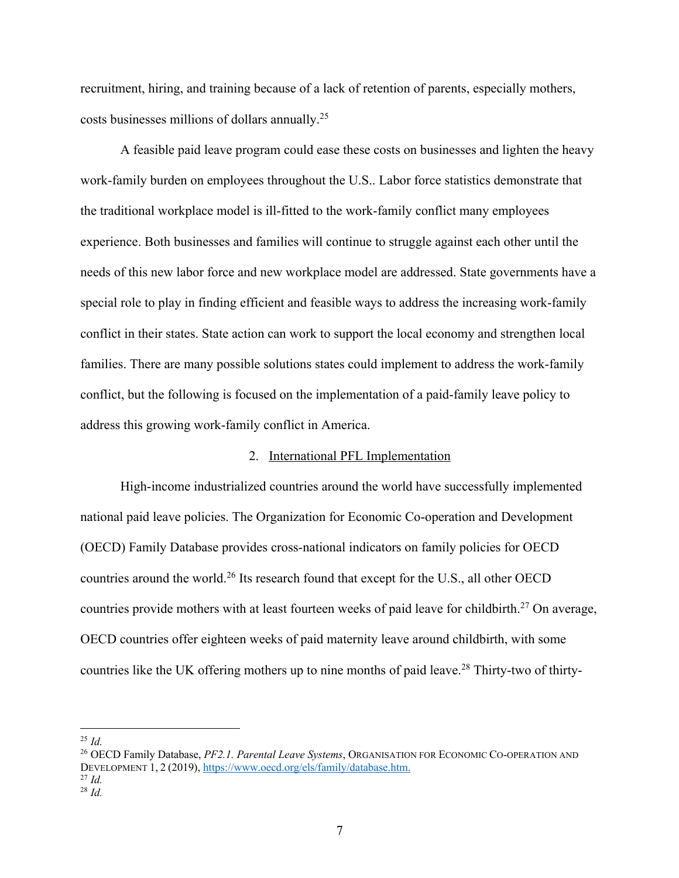recruitment, hiring, and training because of a lack of retention of parents, especially mothers, costs businesses millions of dollars annually.25

A feasible paid leave program could ease these costs on businesses and lighten the heavy work-family burden on employees throughout the U.S.. Labor force statistics demonstrate that the traditional workplace model is ill-fitted to the work-family conflict many employees experience. Both businesses and families will continue to struggle against each other until the needs of this new labor force and new workplace model are addressed. State governments have a special role to play in finding efficient and feasible ways to address the increasing work-family conflict in their states. State action can work to support the local economy and strengthen local families. There are many possible solutions states could implement to address the work-family conflict, but the following is focused on the implementation of a paid-family leave policy to address this growing work-family conflict in America.

#### 2. International PFL Implementation

High-income industrialized countries around the world have successfully implemented national paid leave policies. The Organization for Economic Co-operation and Development (OECD) Family Database provides cross-national indicators on family policies for OECD countries around the world.<sup>26</sup> Its research found that except for the U.S., all other OECD countries provide mothers with at least fourteen weeks of paid leave for childbirth.<sup>27</sup> On average, OECD countries offer eighteen weeks of paid maternity leave around childbirth, with some countries like the UK offering mothers up to nine months of paid leave.<sup>28</sup> Thirty-two of thirty-

 $^{25}$  *Id.* 

<sup>26</sup> OECD Family Database, *PF2.1. Parental Leave Systems*, ORGANISATION FOR ECONOMIC CO-OPERATION AND DEVELOPMENT 1, <sup>2</sup> (2019), https://www.oecd.org/els/family/database.htm. 27 *Id.* 

<sup>28</sup> *Id.*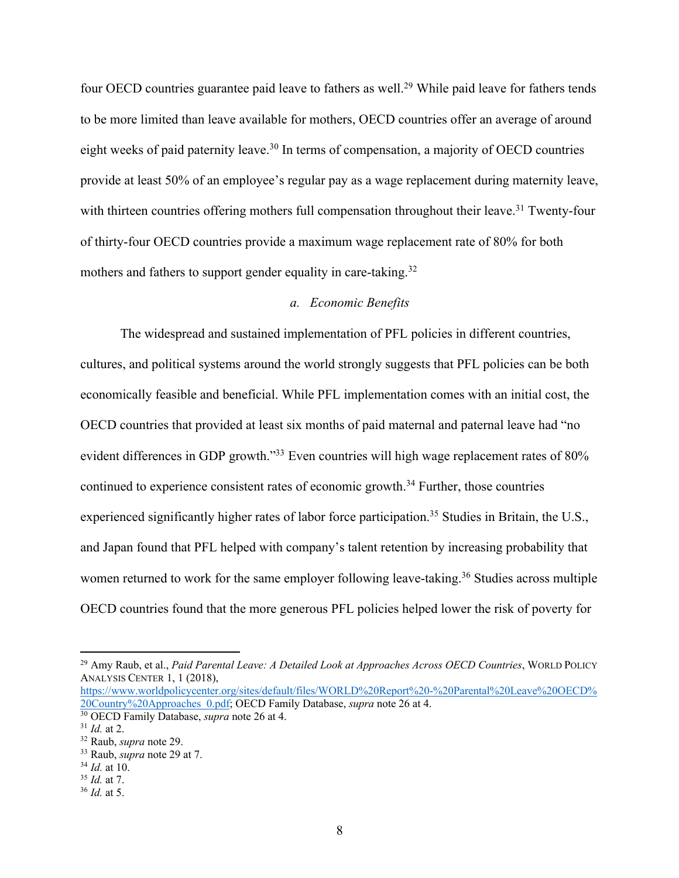four OECD countries guarantee paid leave to fathers as well.<sup>29</sup> While paid leave for fathers tends to be more limited than leave available for mothers, OECD countries offer an average of around eight weeks of paid paternity leave.<sup>30</sup> In terms of compensation, a majority of OECD countries provide at least 50% of an employee's regular pay as a wage replacement during maternity leave, with thirteen countries offering mothers full compensation throughout their leave.<sup>31</sup> Twenty-four of thirty-four OECD countries provide a maximum wage replacement rate of 80% for both mothers and fathers to support gender equality in care-taking.<sup>32</sup>

# *a. Economic Benefits*

The widespread and sustained implementation of PFL policies in different countries, cultures, and political systems around the world strongly suggests that PFL policies can be both economically feasible and beneficial. While PFL implementation comes with an initial cost, the OECD countries that provided at least six months of paid maternal and paternal leave had "no evident differences in GDP growth."<sup>33</sup> Even countries will high wage replacement rates of 80% continued to experience consistent rates of economic growth.<sup>34</sup> Further, those countries experienced significantly higher rates of labor force participation.<sup>35</sup> Studies in Britain, the U.S., and Japan found that PFL helped with company's talent retention by increasing probability that women returned to work for the same employer following leave-taking.<sup>36</sup> Studies across multiple OECD countries found that the more generous PFL policies helped lower the risk of poverty for

https://www.worldpolicycenter.org/sites/default/files/WORLD%20Report%20-%20Parental%20Leave%20OECD% 20Country%20Approaches 0.pdf; OECD Family Database, *supra* note 26 at 4.<br><sup>30</sup> OECD Family Database, *supra* note 26 at 4.<br><sup>31</sup> Id. at 2.<br><sup>32</sup> Raub, *supra* note 29.<br><sup>33</sup> Raub, *supra* note 29 at 7.<br><sup>34</sup> Id. at 10.

<sup>29</sup> Amy Raub, et al., *Paid Parental Leave: A Detailed Look at Approaches Across OECD Countries*, WORLD POLICY ANALYSIS CENTER 1, 1 (2018),

<sup>35</sup> *Id.* at 7.

<sup>36</sup> *Id.* at 5.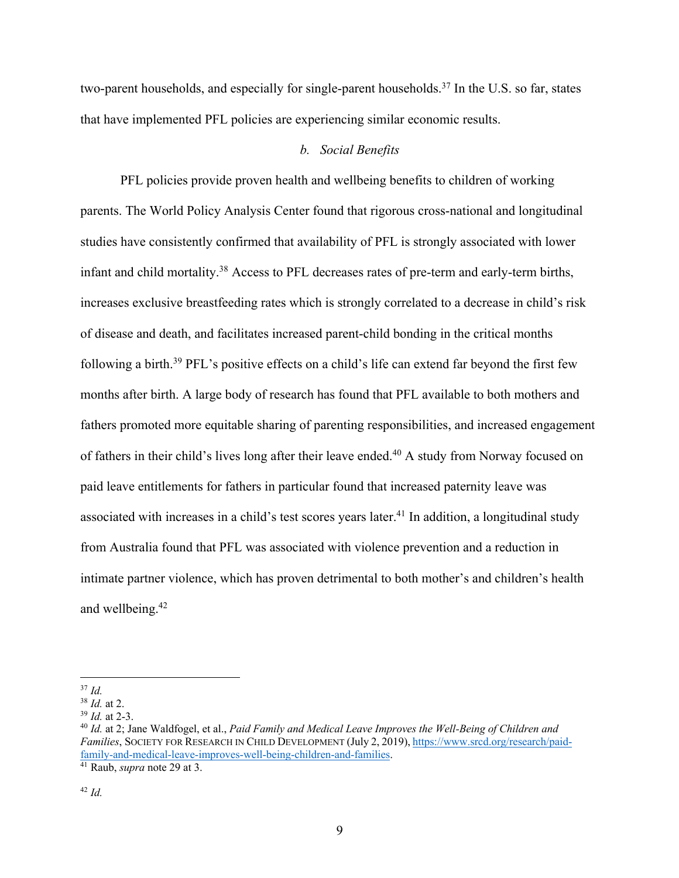two-parent households, and especially for single-parent households.<sup>37</sup> In the U.S. so far, states that have implemented PFL policies are experiencing similar economic results.

# *b. Social Benefits*

PFL policies provide proven health and wellbeing benefits to children of working parents. The World Policy Analysis Center found that rigorous cross-national and longitudinal studies have consistently confirmed that availability of PFL is strongly associated with lower infant and child mortality.<sup>38</sup> Access to PFL decreases rates of pre-term and early-term births, increases exclusive breastfeeding rates which is strongly correlated to a decrease in child's risk of disease and death, and facilitates increased parent-child bonding in the critical months following a birth.<sup>39</sup> PFL's positive effects on a child's life can extend far beyond the first few months after birth. A large body of research has found that PFL available to both mothers and fathers promoted more equitable sharing of parenting responsibilities, and increased engagement of fathers in their child's lives long after their leave ended.<sup>40</sup> A study from Norway focused on paid leave entitlements for fathers in particular found that increased paternity leave was associated with increases in a child's test scores years later.<sup>41</sup> In addition, a longitudinal study from Australia found that PFL was associated with violence prevention and a reduction in intimate partner violence, which has proven detrimental to both mother's and children's health and wellbeing.42

<sup>37</sup> *Id.*

<sup>&</sup>lt;sup>38</sup> *Id.* at 2.<br><sup>39</sup> *Id.* at 2-3.<br><sup>40</sup> *Id.* at 2; Jane Waldfogel, et al., *Paid Family and Medical Leave Improves the Well-Being of Children and Families*, SOCIETY FOR RESEARCH IN CHILD DEVELOPMENT (July 2, 2019), https://www.srcd.org/research/paidfamily-and-medical-leave-improves-well-being-children-and-families. 41 Raub, *supra* note 29 at 3.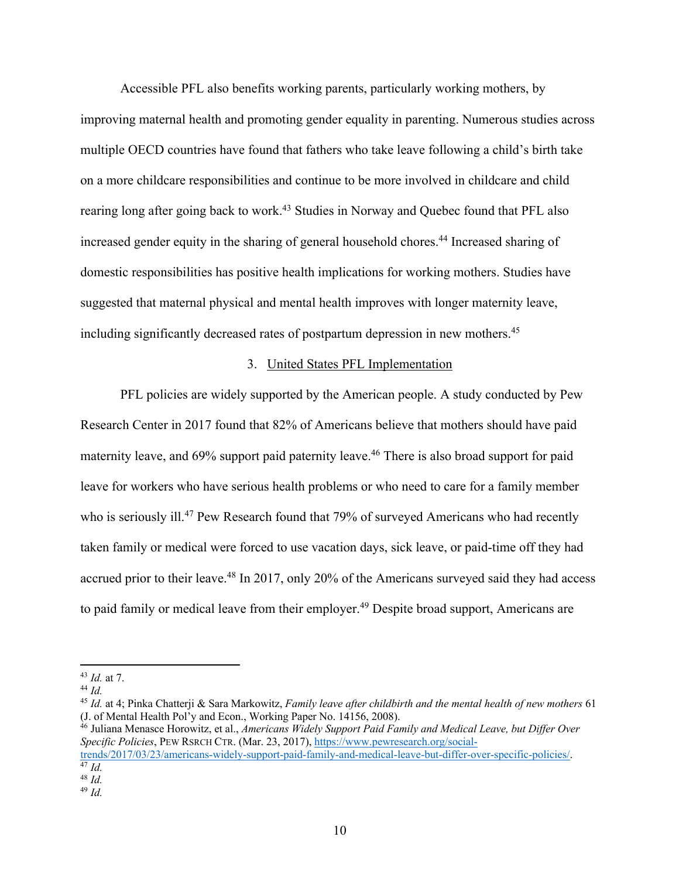Accessible PFL also benefits working parents, particularly working mothers, by improving maternal health and promoting gender equality in parenting. Numerous studies across multiple OECD countries have found that fathers who take leave following a child's birth take on a more childcare responsibilities and continue to be more involved in childcare and child rearing long after going back to work.<sup>43</sup> Studies in Norway and Quebec found that PFL also increased gender equity in the sharing of general household chores.<sup>44</sup> Increased sharing of domestic responsibilities has positive health implications for working mothers. Studies have suggested that maternal physical and mental health improves with longer maternity leave, including significantly decreased rates of postpartum depression in new mothers. 45

#### 3. United States PFL Implementation

PFL policies are widely supported by the American people. A study conducted by Pew Research Center in 2017 found that 82% of Americans believe that mothers should have paid maternity leave, and 69% support paid paternity leave.<sup>46</sup> There is also broad support for paid leave for workers who have serious health problems or who need to care for a family member who is seriously ill.<sup>47</sup> Pew Research found that 79% of surveyed Americans who had recently taken family or medical were forced to use vacation days, sick leave, or paid-time off they had accrued prior to their leave.<sup>48</sup> In 2017, only 20% of the Americans surveyed said they had access to paid family or medical leave from their employer.<sup>49</sup> Despite broad support, Americans are

<sup>46</sup> Juliana Menasce Horowitz, et al., *Americans Widely Support Paid Family and Medical Leave, but Differ Over Specific Policies*, PEW RSRCH CTR. (Mar. 23, 2017), https://www.pewresearch.org/social-

trends/2017/03/23/americans-widely-support-paid-family-and-medical-leave-but-differ-over-specific-policies/. 47 *Id.* <sup>48</sup> *Id.* 

<sup>43</sup> *Id.* at 7.

 $44$  *Id.* 

<sup>45</sup> *Id.* at 4; Pinka Chatterji & Sara Markowitz, *Family leave after childbirth and the mental health of new mothers* 61

<sup>49</sup> *Id.*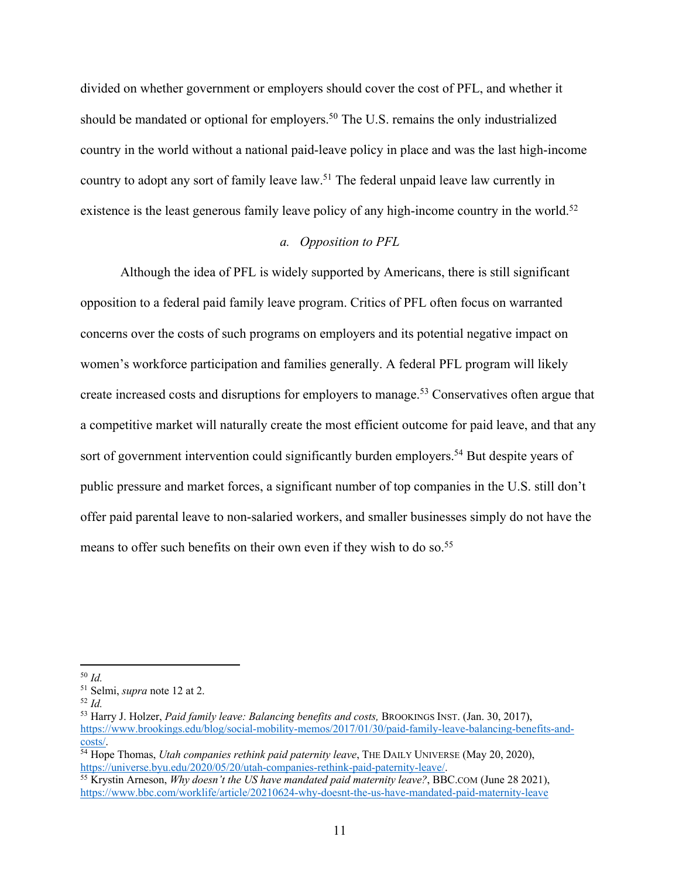divided on whether government or employers should cover the cost of PFL, and whether it should be mandated or optional for employers.<sup>50</sup> The U.S. remains the only industrialized country in the world without a national paid-leave policy in place and was the last high-income country to adopt any sort of family leave law.51 The federal unpaid leave law currently in existence is the least generous family leave policy of any high-income country in the world.<sup>52</sup>

# *a. Opposition to PFL*

Although the idea of PFL is widely supported by Americans, there is still significant opposition to a federal paid family leave program. Critics of PFL often focus on warranted concerns over the costs of such programs on employers and its potential negative impact on women's workforce participation and families generally. A federal PFL program will likely create increased costs and disruptions for employers to manage.53 Conservatives often argue that a competitive market will naturally create the most efficient outcome for paid leave, and that any sort of government intervention could significantly burden employers.<sup>54</sup> But despite years of public pressure and market forces, a significant number of top companies in the U.S. still don't offer paid parental leave to non-salaried workers, and smaller businesses simply do not have the means to offer such benefits on their own even if they wish to do so.<sup>55</sup>

<sup>50</sup> *Id.*

<sup>51</sup> Selmi, *supra* note 12 at 2. 52 *Id.* 

<sup>53</sup> Harry J. Holzer, *Paid family leave: Balancing benefits and costs,* BROOKINGS INST. (Jan. 30, 2017), https://www.brookings.edu/blog/social-mobility-memos/2017/01/30/paid-family-leave-balancing-benefits-and-

<sup>&</sup>lt;sup>54</sup> Hope Thomas, *Utah companies rethink paid paternity leave*, THE DAILY UNIVERSE (May 20, 2020), https://universe.byu.edu/2020/05/20/utah-companies-rethink-paid-paternity-leave/.

<sup>&</sup>lt;sup>55</sup> Krystin Arneson, *Why doesn't the US have mandated paid maternity leave?*, BBC.COM (June 28 2021), https://www.bbc.com/worklife/article/20210624-why-doesnt-the-us-have-mandated-paid-maternity-leave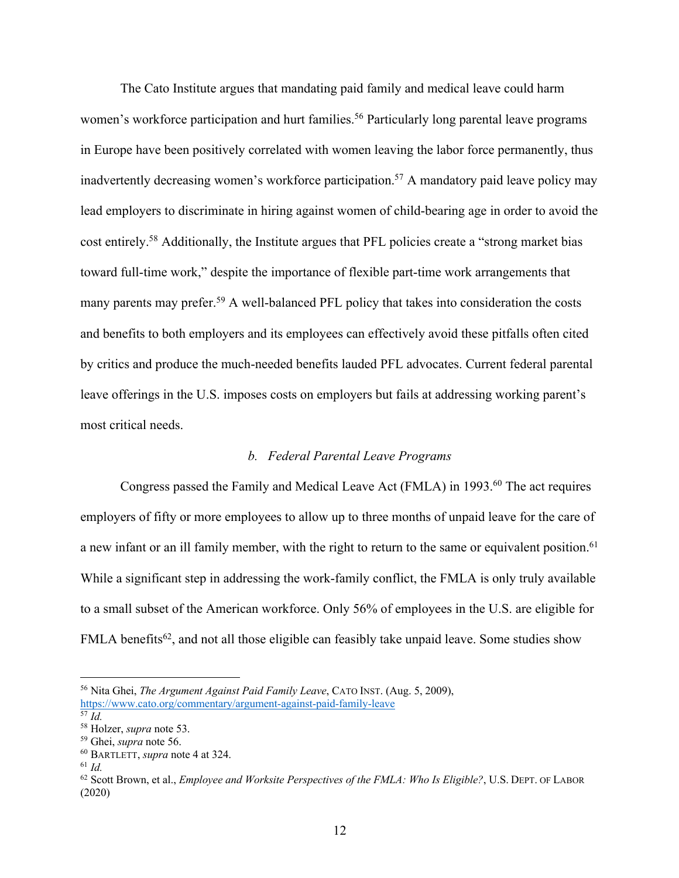The Cato Institute argues that mandating paid family and medical leave could harm women's workforce participation and hurt families.<sup>56</sup> Particularly long parental leave programs in Europe have been positively correlated with women leaving the labor force permanently, thus inadvertently decreasing women's workforce participation.<sup>57</sup> A mandatory paid leave policy may lead employers to discriminate in hiring against women of child-bearing age in order to avoid the cost entirely.58 Additionally, the Institute argues that PFL policies create a "strong market bias toward full-time work," despite the importance of flexible part-time work arrangements that many parents may prefer.<sup>59</sup> A well-balanced PFL policy that takes into consideration the costs and benefits to both employers and its employees can effectively avoid these pitfalls often cited by critics and produce the much-needed benefits lauded PFL advocates. Current federal parental leave offerings in the U.S. imposes costs on employers but fails at addressing working parent's most critical needs.

# *b. Federal Parental Leave Programs*

Congress passed the Family and Medical Leave Act (FMLA) in 1993.<sup>60</sup> The act requires employers of fifty or more employees to allow up to three months of unpaid leave for the care of a new infant or an ill family member, with the right to return to the same or equivalent position.<sup>61</sup> While a significant step in addressing the work-family conflict, the FMLA is only truly available to a small subset of the American workforce. Only 56% of employees in the U.S. are eligible for FMLA benefits<sup>62</sup>, and not all those eligible can feasibly take unpaid leave. Some studies show

<sup>56</sup> Nita Ghei, *The Argument Against Paid Family Leave*, CATO INST. (Aug. 5, 2009), https://www.cato.org/commentary/argument-against-paid-family-leave

<sup>&</sup>lt;sup>57</sup> *Id.*<br><sup>58</sup> Holzer, *supra* note 53.

<sup>&</sup>lt;sup>59</sup> Ghei, *supra* note 56.<br><sup>60</sup> BARTLETT, *supra* note 4 at 324.<br><sup>61</sup> *Id*.

<sup>62</sup> Scott Brown, et al., *Employee and Worksite Perspectives of the FMLA: Who Is Eligible?*, U.S. DEPT. OF LABOR (2020)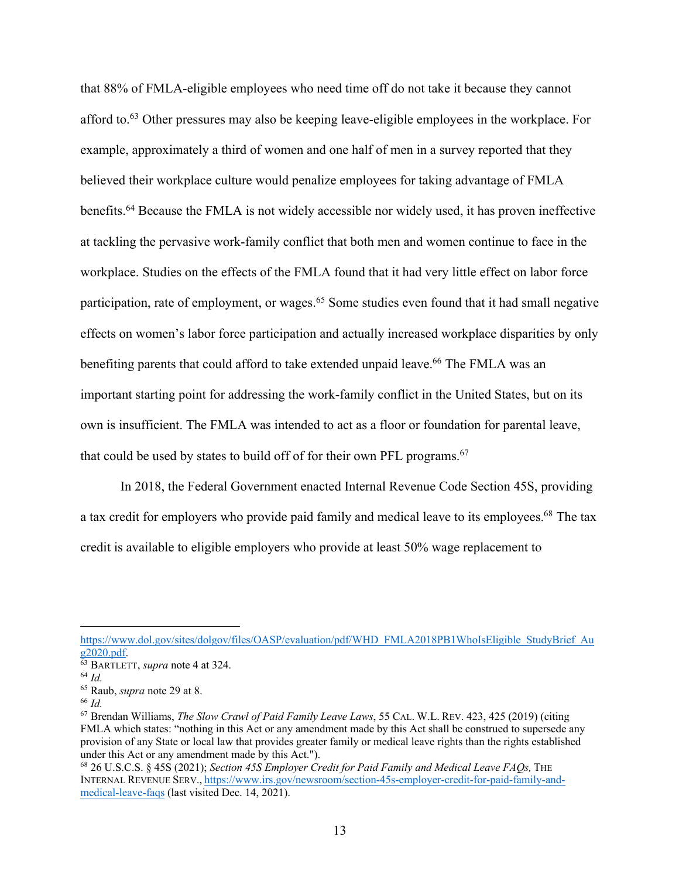that 88% of FMLA-eligible employees who need time off do not take it because they cannot afford to.<sup>63</sup> Other pressures may also be keeping leave-eligible employees in the workplace. For example, approximately a third of women and one half of men in a survey reported that they believed their workplace culture would penalize employees for taking advantage of FMLA benefits.64 Because the FMLA is not widely accessible nor widely used, it has proven ineffective at tackling the pervasive work-family conflict that both men and women continue to face in the workplace. Studies on the effects of the FMLA found that it had very little effect on labor force participation, rate of employment, or wages.<sup>65</sup> Some studies even found that it had small negative effects on women's labor force participation and actually increased workplace disparities by only benefiting parents that could afford to take extended unpaid leave.<sup>66</sup> The FMLA was an important starting point for addressing the work-family conflict in the United States, but on its own is insufficient. The FMLA was intended to act as a floor or foundation for parental leave, that could be used by states to build off of for their own PFL programs.<sup>67</sup>

In 2018, the Federal Government enacted Internal Revenue Code Section 45S, providing a tax credit for employers who provide paid family and medical leave to its employees.<sup>68</sup> The tax credit is available to eligible employers who provide at least 50% wage replacement to

https://www.dol.gov/sites/dolgov/files/OASP/evaluation/pdf/WHD\_FMLA2018PB1WhoIsEligible\_StudyBrief\_Au g2020.pdf.

 $\overline{63}$  BARTLETT, *supra* note 4 at 324.

<sup>64</sup> *Id.* 

<sup>65</sup> Raub, *supra* note 29 at 8. 66 *Id.*

<sup>67</sup> Brendan Williams, *The Slow Crawl of Paid Family Leave Laws*, 55 CAL. W.L. REV. 423, 425 (2019) (citing FMLA which states: "nothing in this Act or any amendment made by this Act shall be construed to supersede any provision of any State or local law that provides greater family or medical leave rights than the rights established under this Act or any amendment made by this Act.").<br><sup>68</sup> 26 U.S.C.S. § 45S (2021); *Section 45S Employer Credit for Paid Family and Medical Leave FAOs*, THE

INTERNAL REVENUE SERV., https://www.irs.gov/newsroom/section-45s-employer-credit-for-paid-family-andmedical-leave-faqs (last visited Dec. 14, 2021).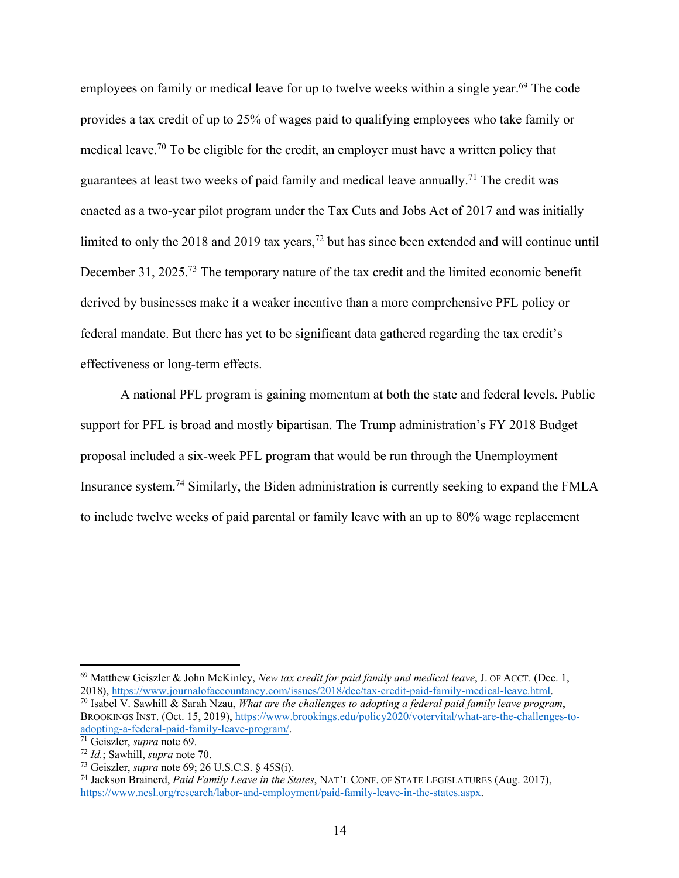employees on family or medical leave for up to twelve weeks within a single year.<sup>69</sup> The code provides a tax credit of up to 25% of wages paid to qualifying employees who take family or medical leave.<sup>70</sup> To be eligible for the credit, an employer must have a written policy that guarantees at least two weeks of paid family and medical leave annually.71 The credit was enacted as a two-year pilot program under the Tax Cuts and Jobs Act of 2017 and was initially limited to only the 2018 and 2019 tax years,<sup>72</sup> but has since been extended and will continue until December 31, 2025.<sup>73</sup> The temporary nature of the tax credit and the limited economic benefit derived by businesses make it a weaker incentive than a more comprehensive PFL policy or federal mandate. But there has yet to be significant data gathered regarding the tax credit's effectiveness or long-term effects.

A national PFL program is gaining momentum at both the state and federal levels. Public support for PFL is broad and mostly bipartisan. The Trump administration's FY 2018 Budget proposal included a six-week PFL program that would be run through the Unemployment Insurance system.74 Similarly, the Biden administration is currently seeking to expand the FMLA to include twelve weeks of paid parental or family leave with an up to 80% wage replacement

<sup>69</sup> Matthew Geiszler & John McKinley, *New tax credit for paid family and medical leave*, J. OF ACCT. (Dec. 1, 2018), https://www.journalofaccountancy.com/issues/2018/dec/tax-credit-paid-family-medical-leave.html.

<sup>70</sup> Isabel V. Sawhill & Sarah Nzau, *What are the challenges to adopting a federal paid family leave program*, BROOKINGS INST. (Oct. 15, 2019), https://www.brookings.edu/policy2020/votervital/what-are-the-challenges-toadopting-a-federal-paid-family-leave-program/.

<sup>&</sup>lt;sup>71</sup> Geiszler, *supra* note 69.<br><sup>72</sup> *Id.*; Sawhill, *supra* note 70.<br><sup>73</sup> Geiszler, *supra* note 69; 26 U.S.C.S. § 45S(i).<br><sup>74</sup> Jackson Brainerd, *Paid Family Leave in the States*, NAT'L CONF. OF STATE LEGISLATURES (Aug. https://www.ncsl.org/research/labor-and-employment/paid-family-leave-in-the-states.aspx.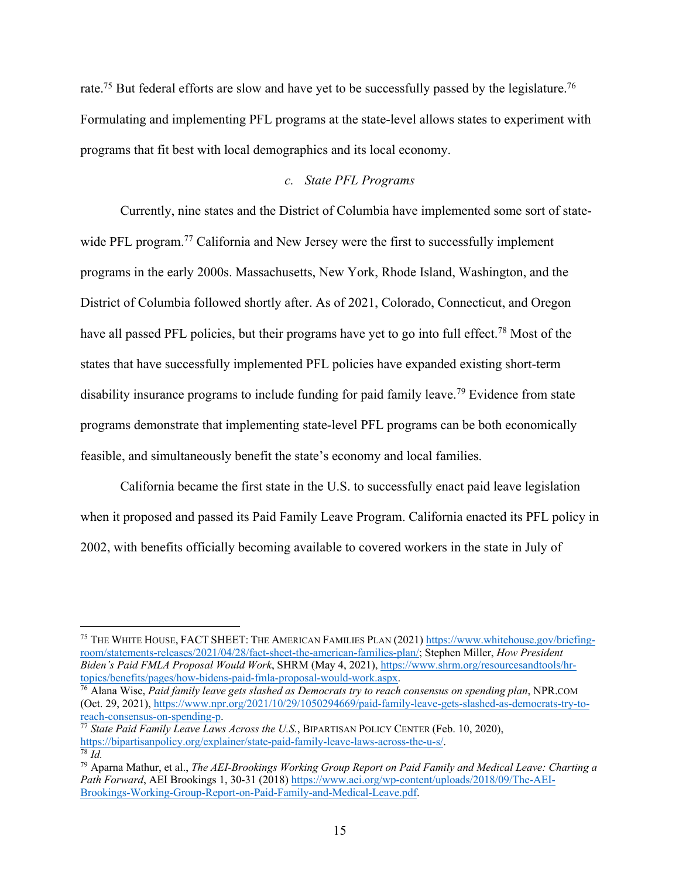rate.<sup>75</sup> But federal efforts are slow and have yet to be successfully passed by the legislature.<sup>76</sup> Formulating and implementing PFL programs at the state-level allows states to experiment with programs that fit best with local demographics and its local economy.

#### *c. State PFL Programs*

Currently, nine states and the District of Columbia have implemented some sort of statewide PFL program.<sup>77</sup> California and New Jersey were the first to successfully implement programs in the early 2000s. Massachusetts, New York, Rhode Island, Washington, and the District of Columbia followed shortly after. As of 2021, Colorado, Connecticut, and Oregon have all passed PFL policies, but their programs have yet to go into full effect.<sup>78</sup> Most of the states that have successfully implemented PFL policies have expanded existing short-term disability insurance programs to include funding for paid family leave.<sup>79</sup> Evidence from state programs demonstrate that implementing state-level PFL programs can be both economically feasible, and simultaneously benefit the state's economy and local families.

California became the first state in the U.S. to successfully enact paid leave legislation when it proposed and passed its Paid Family Leave Program. California enacted its PFL policy in 2002, with benefits officially becoming available to covered workers in the state in July of

<sup>75</sup> THE WHITE HOUSE, FACT SHEET: THE AMERICAN FAMILIES PLAN (2021) https://www.whitehouse.gov/briefingroom/statements-releases/2021/04/28/fact-sheet-the-american-families-plan/; Stephen Miller, *How President Biden's Paid FMLA Proposal Would Work*, SHRM (May 4, 2021), https://www.shrm.org/resourcesandtools/hr-<br>topics/benefits/pages/how-bidens-paid-fmla-proposal-would-work.aspx.

<sup>&</sup>lt;sup>76</sup> Alana Wise, *Paid family leave gets slashed as Democrats try to reach consensus on spending plan*, NPR.COM (Oct. 29, 2021), https://www.npr.org/2021/10/29/1050294669/paid-family-leave-gets-slashed-as-democrats-try-toreach-consensus-on-spending-p. 77 *State Paid Family Leave Laws Across the U.S.*, BIPARTISAN POLICY CENTER (Feb. 10, 2020),

https://bipartisanpolicy.org/explainer/state-paid-family-leave-laws-across-the-u-s/. 78 *Id.* 

<sup>79</sup> Aparna Mathur, et al., *The AEI-Brookings Working Group Report on Paid Family and Medical Leave: Charting a*  Path Forward, AEI Brookings 1, 30-31 (2018) https://www.aei.org/wp-content/uploads/2018/09/The-AEI-Brookings-Working-Group-Report-on-Paid-Family-and-Medical-Leave.pdf.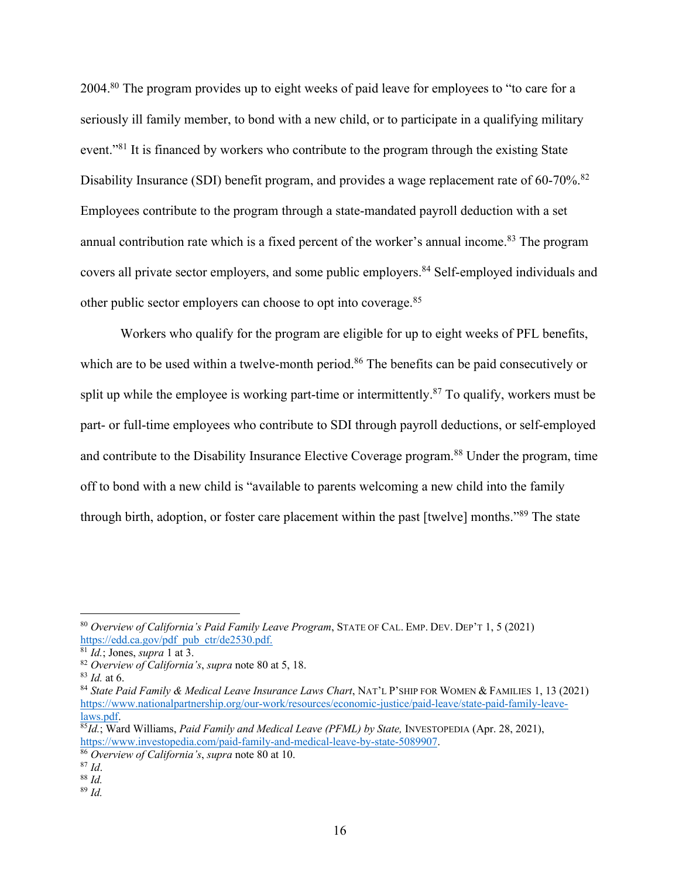2004.<sup>80</sup> The program provides up to eight weeks of paid leave for employees to "to care for a seriously ill family member, to bond with a new child, or to participate in a qualifying military event."<sup>81</sup> It is financed by workers who contribute to the program through the existing State Disability Insurance (SDI) benefit program, and provides a wage replacement rate of 60-70%.<sup>82</sup> Employees contribute to the program through a state-mandated payroll deduction with a set annual contribution rate which is a fixed percent of the worker's annual income.<sup>83</sup> The program covers all private sector employers, and some public employers. <sup>84</sup> Self-employed individuals and other public sector employers can choose to opt into coverage.<sup>85</sup>

Workers who qualify for the program are eligible for up to eight weeks of PFL benefits, which are to be used within a twelve-month period.<sup>86</sup> The benefits can be paid consecutively or split up while the employee is working part-time or intermittently.<sup>87</sup> To qualify, workers must be part- or full-time employees who contribute to SDI through payroll deductions, or self-employed and contribute to the Disability Insurance Elective Coverage program.<sup>88</sup> Under the program, time off to bond with a new child is "available to parents welcoming a new child into the family through birth, adoption, or foster care placement within the past [twelve] months."89 The state

<sup>80</sup> *Overview of California's Paid Family Leave Program*, STATE OF CAL. EMP. DEV. DEP'T 1, 5 (2021)

<sup>&</sup>lt;sup>81</sup> *Id.*; Jones, *supra* 1 at 3.<br><sup>82</sup> Overview of California's, *supra* note 80 at 5, 18.<br><sup>83</sup> *Id.* at 6.<br><sup>84</sup> State Paid Family & Medical Leave Insurance Laws Chart, NAT'L P'SHIP FOR WOMEN & FAMILIES 1, 13 (2021) https://www.nationalpartnership.org/our-work/resources/economic-justice/paid-leave/state-paid-family-leavelaws.pdf. 85*Id.*; Ward Williams, *Paid Family and Medical Leave (PFML) by State,* INVESTOPEDIA (Apr. 28, 2021),

https://www.investopedia.com/paid-family-and-medical-leave-by-state-5089907. 86 *Overview of California's*, *supra* note 80 at 10. 87 *Id*. 88 *Id.*

<sup>89</sup> *Id.*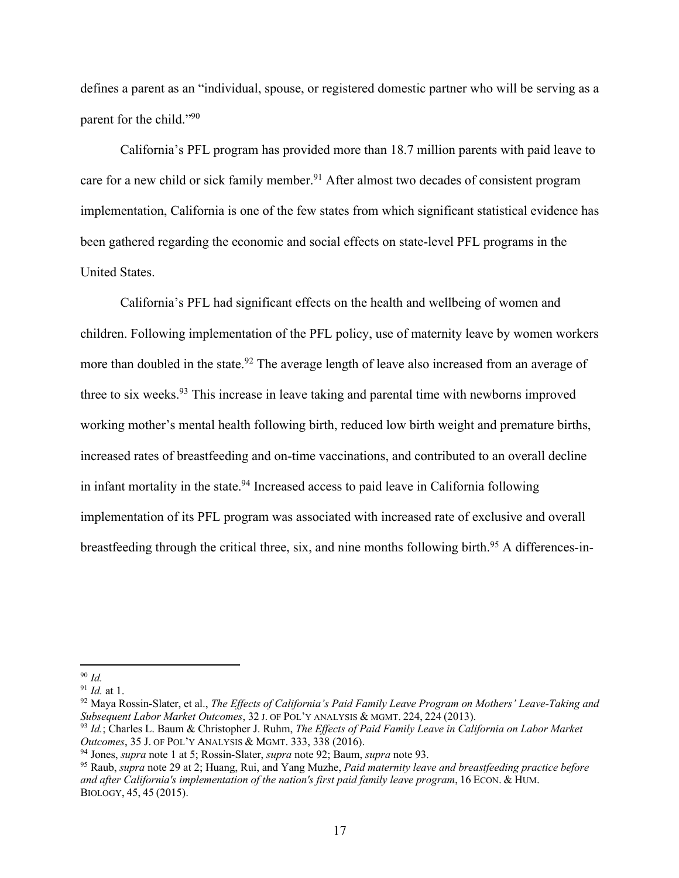defines a parent as an "individual, spouse, or registered domestic partner who will be serving as a parent for the child."90

California's PFL program has provided more than 18.7 million parents with paid leave to care for a new child or sick family member.<sup>91</sup> After almost two decades of consistent program implementation, California is one of the few states from which significant statistical evidence has been gathered regarding the economic and social effects on state-level PFL programs in the United States.

California's PFL had significant effects on the health and wellbeing of women and children. Following implementation of the PFL policy, use of maternity leave by women workers more than doubled in the state.<sup>92</sup> The average length of leave also increased from an average of three to six weeks.<sup>93</sup> This increase in leave taking and parental time with newborns improved working mother's mental health following birth, reduced low birth weight and premature births, increased rates of breastfeeding and on-time vaccinations, and contributed to an overall decline in infant mortality in the state.<sup>94</sup> Increased access to paid leave in California following implementation of its PFL program was associated with increased rate of exclusive and overall breastfeeding through the critical three, six, and nine months following birth.<sup>95</sup> A differences-in-

 $\frac{90}{91}$  *Id.* at 1.

<sup>&</sup>lt;sup>92</sup> Maya Rossin-Slater, et al., *The Effects of California's Paid Family Leave Program on Mothers' Leave-Taking and Subsequent Labor Market Outcomes*, 32 J. OF POL'Y ANALYSIS & MGMT. 224, 224 (2013).

<sup>93</sup> *Id.*; Charles L. Baum & Christopher J. Ruhm, *The Effects of Paid Family Leave in California on Labor Market Outcomes*, 35 J. OF POL'Y ANALYSIS & MGMT. 333, 338 (2016). 94 Jones, *supra* note 1 at 5; Rossin-Slater, *supra* note 92; Baum, *supra* note 93.

<sup>95</sup> Raub, *supra* note 29 at 2; Huang, Rui, and Yang Muzhe, *Paid maternity leave and breastfeeding practice before and after California's implementation of the nation's first paid family leave program*, 16 ECON. & HUM. BIOLOGY, 45, 45 (2015).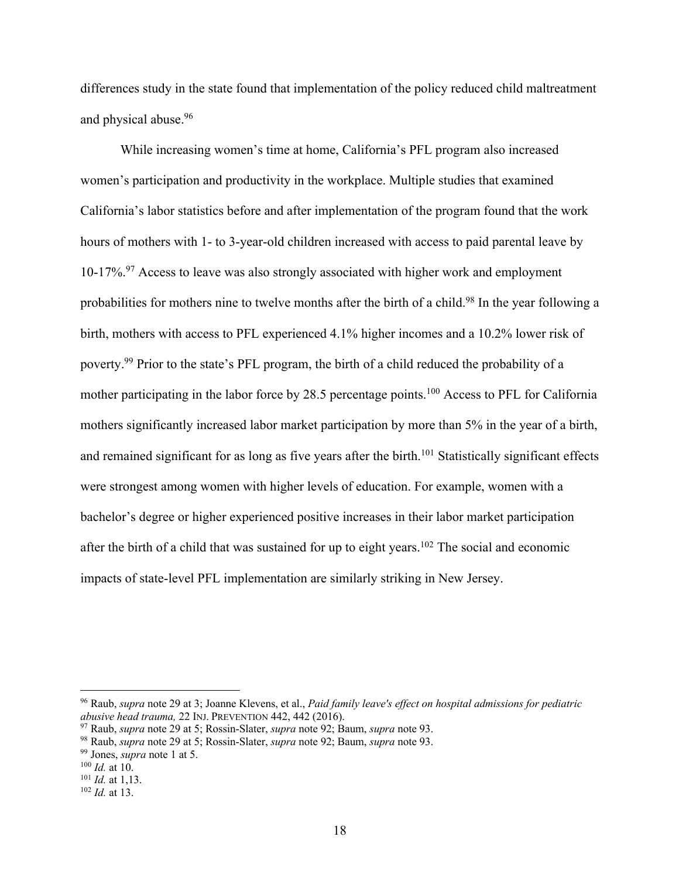differences study in the state found that implementation of the policy reduced child maltreatment and physical abuse.96

While increasing women's time at home, California's PFL program also increased women's participation and productivity in the workplace. Multiple studies that examined California's labor statistics before and after implementation of the program found that the work hours of mothers with 1- to 3-year-old children increased with access to paid parental leave by 10-17%.97 Access to leave was also strongly associated with higher work and employment probabilities for mothers nine to twelve months after the birth of a child.<sup>98</sup> In the year following a birth, mothers with access to PFL experienced 4.1% higher incomes and a 10.2% lower risk of poverty.<sup>99</sup> Prior to the state's PFL program, the birth of a child reduced the probability of a mother participating in the labor force by 28.5 percentage points.<sup>100</sup> Access to PFL for California mothers significantly increased labor market participation by more than 5% in the year of a birth, and remained significant for as long as five years after the birth.<sup>101</sup> Statistically significant effects were strongest among women with higher levels of education. For example, women with a bachelor's degree or higher experienced positive increases in their labor market participation after the birth of a child that was sustained for up to eight years.<sup>102</sup> The social and economic impacts of state-level PFL implementation are similarly striking in New Jersey.

<sup>96</sup> Raub, *supra* note 29 at 3; Joanne Klevens, et al., *Paid family leave's effect on hospital admissions for pediatric* 

<sup>&</sup>lt;sup>97</sup> Raub, *supra* note 29 at 5; Rossin-Slater, *supra* note 92; Baum, *supra* note 93.<br><sup>98</sup> Raub, *supra* note 29 at 5; Rossin-Slater, *supra* note 92; Baum, *supra* note 93.

<sup>99</sup> Jones, *supra* note 1 at 5.

<sup>100</sup> *Id.* at 10.

<sup>101</sup> *Id.* at 1,13. 102 *Id.* at 13.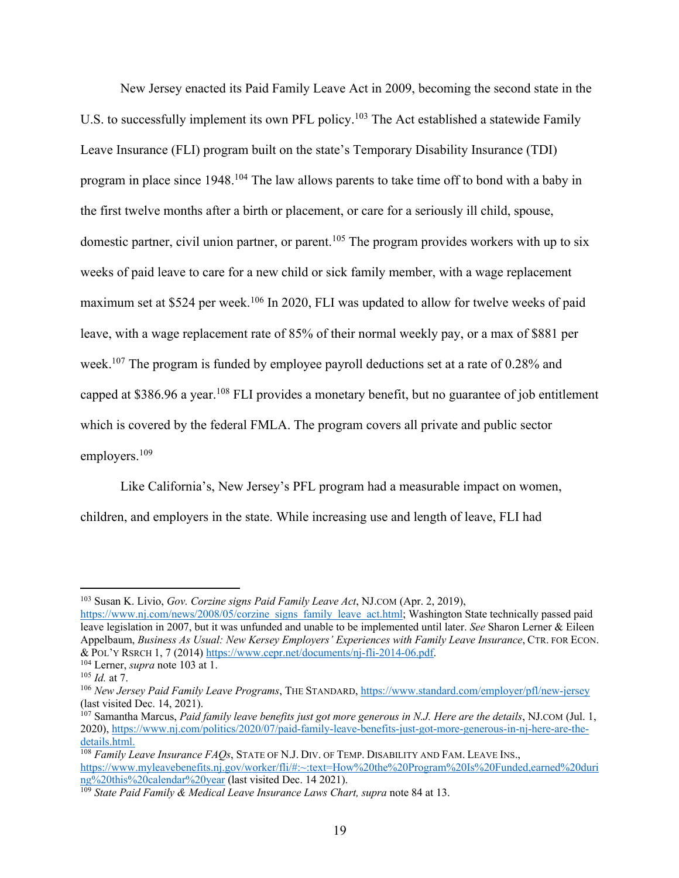New Jersey enacted its Paid Family Leave Act in 2009, becoming the second state in the U.S. to successfully implement its own PFL policy.<sup>103</sup> The Act established a statewide Family Leave Insurance (FLI) program built on the state's Temporary Disability Insurance (TDI) program in place since 1948.<sup>104</sup> The law allows parents to take time off to bond with a baby in the first twelve months after a birth or placement, or care for a seriously ill child, spouse, domestic partner, civil union partner, or parent.<sup>105</sup> The program provides workers with up to six weeks of paid leave to care for a new child or sick family member, with a wage replacement maximum set at \$524 per week.<sup>106</sup> In 2020, FLI was updated to allow for twelve weeks of paid leave, with a wage replacement rate of 85% of their normal weekly pay, or a max of \$881 per week.<sup>107</sup> The program is funded by employee payroll deductions set at a rate of 0.28% and capped at \$386.96 a year.108 FLI provides a monetary benefit, but no guarantee of job entitlement which is covered by the federal FMLA. The program covers all private and public sector employers.109

Like California's, New Jersey's PFL program had a measurable impact on women, children, and employers in the state. While increasing use and length of leave, FLI had

<sup>103</sup> Susan K. Livio, *Gov. Corzine signs Paid Family Leave Act*, NJ.COM (Apr. 2, 2019),

https://www.nj.com/news/2008/05/corzine\_signs\_family\_leave\_act.html; Washington State technically passed paid leave legislation in 2007, but it was unfunded and unable to be implemented until later. *See* Sharon Lerner & Eileen Appelbaum, *Business As Usual: New Kersey Employers' Experiences with Family Leave Insurance*, CTR. FOR ECON. & POL'Y RSRCH 1, 7 (2014) https://www.cepr.net/documents/nj-fli-2014-06.pdf. 104 Lerner, *supra* note 103 at 1.

<sup>105</sup> *Id.* at 7.

<sup>106</sup> *New Jersey Paid Family Leave Programs*, THE STANDARD, https://www.standard.com/employer/pfl/new-jersey (last visited Dec. 14, 2021).

<sup>107</sup> Samantha Marcus, *Paid family leave benefits just got more generous in N.J. Here are the details*, NJ.COM (Jul. 1, 2020), https://www.nj.com/politics/2020/07/paid-family-leave-benefits-just-got-more-generous-in-nj-here-are-thedetails.html.<br><sup>108</sup> *Family Leave Insurance FAQs*, STATE OF N.J. DIV. OF TEMP. DISABILITY AND FAM. LEAVE INS.,

https://www.myleavebenefits.nj.gov/worker/fli/#:~:text=How%20the%20Program%20Is%20Funded,earned%20duri<br>ng%20this%20calendar%20year (last visited Dec. 14 2021).

<sup>&</sup>lt;sup>109</sup> State Paid Family & Medical Leave Insurance Laws Chart, supra note 84 at 13.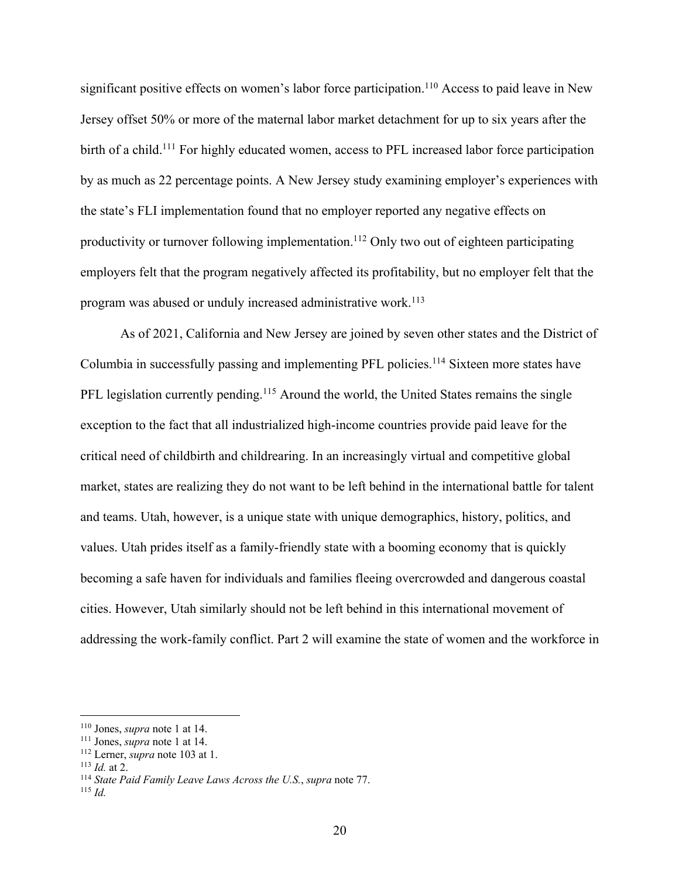significant positive effects on women's labor force participation.<sup>110</sup> Access to paid leave in New Jersey offset 50% or more of the maternal labor market detachment for up to six years after the birth of a child.<sup>111</sup> For highly educated women, access to PFL increased labor force participation by as much as 22 percentage points. A New Jersey study examining employer's experiences with the state's FLI implementation found that no employer reported any negative effects on productivity or turnover following implementation. <sup>112</sup> Only two out of eighteen participating employers felt that the program negatively affected its profitability, but no employer felt that the program was abused or unduly increased administrative work.<sup>113</sup>

As of 2021, California and New Jersey are joined by seven other states and the District of Columbia in successfully passing and implementing PFL policies.114 Sixteen more states have PFL legislation currently pending.<sup>115</sup> Around the world, the United States remains the single exception to the fact that all industrialized high-income countries provide paid leave for the critical need of childbirth and childrearing. In an increasingly virtual and competitive global market, states are realizing they do not want to be left behind in the international battle for talent and teams. Utah, however, is a unique state with unique demographics, history, politics, and values. Utah prides itself as a family-friendly state with a booming economy that is quickly becoming a safe haven for individuals and families fleeing overcrowded and dangerous coastal cities. However, Utah similarly should not be left behind in this international movement of addressing the work-family conflict. Part 2 will examine the state of women and the workforce in

<sup>&</sup>lt;sup>110</sup> Jones, *supra* note 1 at 14.<br><sup>111</sup> Jones, *supra* note 1 at 14.<br><sup>112</sup> Lerner, *supra* note 103 at 1.<br><sup>113</sup> *Id.* at 2.<br><sup>114</sup> State Paid Family Leave Laws Across the U.S., *supra* note 77.<br><sup>115</sup> *Id*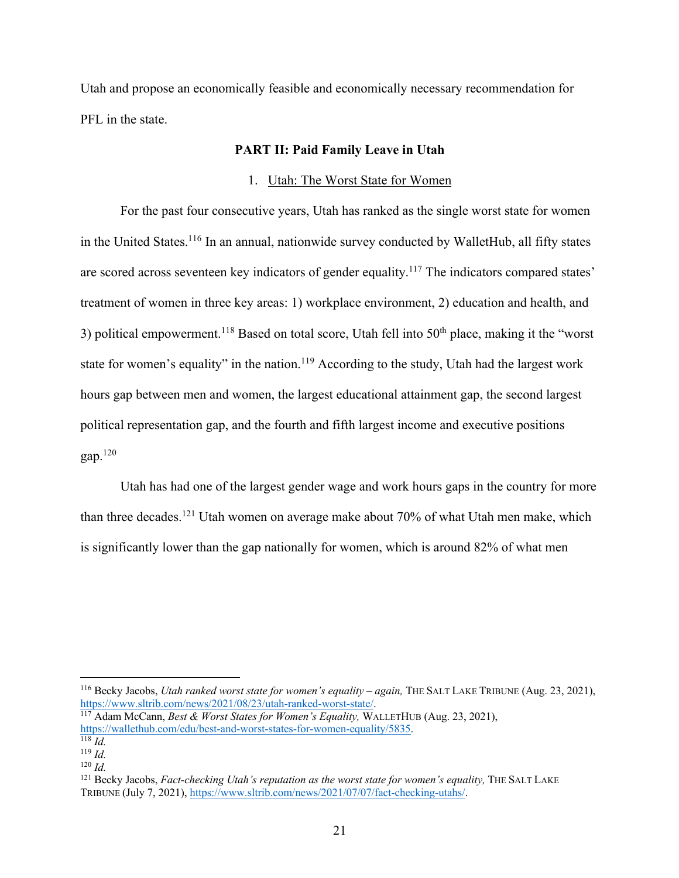Utah and propose an economically feasible and economically necessary recommendation for PFL in the state.

## **PART II: Paid Family Leave in Utah**

#### 1. Utah: The Worst State for Women

For the past four consecutive years, Utah has ranked as the single worst state for women in the United States.<sup>116</sup> In an annual, nationwide survey conducted by WalletHub, all fifty states are scored across seventeen key indicators of gender equality.<sup>117</sup> The indicators compared states' treatment of women in three key areas: 1) workplace environment, 2) education and health, and 3) political empowerment.<sup>118</sup> Based on total score, Utah fell into 50<sup>th</sup> place, making it the "worst" state for women's equality" in the nation.<sup>119</sup> According to the study, Utah had the largest work hours gap between men and women, the largest educational attainment gap, the second largest political representation gap, and the fourth and fifth largest income and executive positions gap. $120$ 

Utah has had one of the largest gender wage and work hours gaps in the country for more than three decades.<sup>121</sup> Utah women on average make about  $70\%$  of what Utah men make, which is significantly lower than the gap nationally for women, which is around 82% of what men

<sup>116</sup> Becky Jacobs, *Utah ranked worst state for women's equality – again,* THE SALT LAKE TRIBUNE (Aug. 23, 2021), https://www.sltrib.com/news/2021/08/23/utah-ranked-worst-state/. 117 Adam McCann, *Best & Worst States for Women's Equality,* WALLETHUB (Aug. 23, 2021),

https://wallethub.com/edu/best-and-worst-states-for-women-equality/5835. 118 *Id.* 

 $119$  *Id.* 

 $120$  *Id.* 

<sup>&</sup>lt;sup>121</sup> Becky Jacobs, *Fact-checking Utah's reputation as the worst state for women's equality*, THE SALT LAKE TRIBUNE (July 7, 2021), https://www.sltrib.com/news/2021/07/07/fact-checking-utahs/.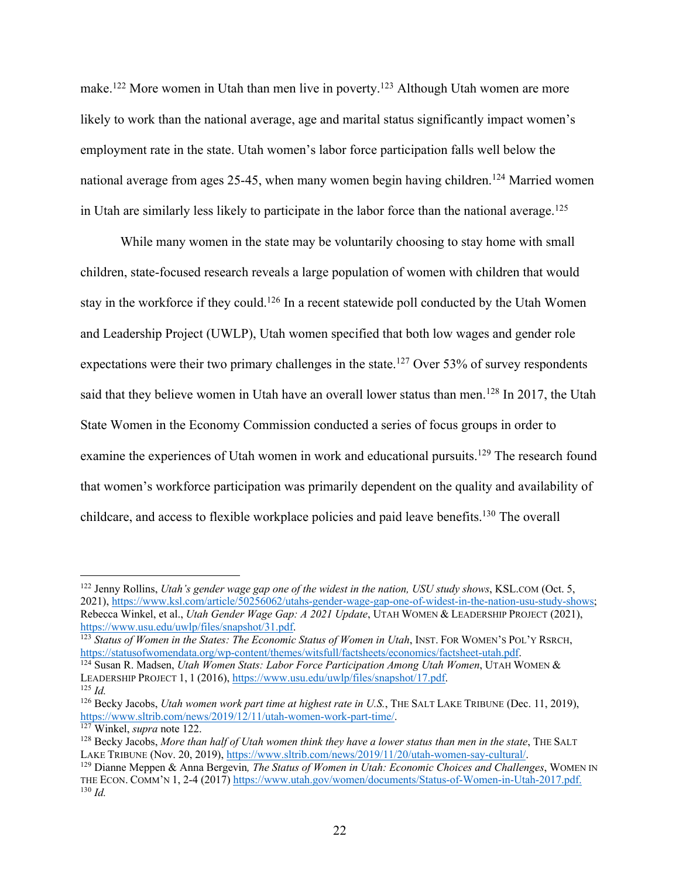make.<sup>122</sup> More women in Utah than men live in poverty.<sup>123</sup> Although Utah women are more likely to work than the national average, age and marital status significantly impact women's employment rate in the state. Utah women's labor force participation falls well below the national average from ages 25-45, when many women begin having children.<sup>124</sup> Married women in Utah are similarly less likely to participate in the labor force than the national average.<sup>125</sup>

While many women in the state may be voluntarily choosing to stay home with small children, state-focused research reveals a large population of women with children that would stay in the workforce if they could.<sup>126</sup> In a recent statewide poll conducted by the Utah Women and Leadership Project (UWLP), Utah women specified that both low wages and gender role expectations were their two primary challenges in the state.<sup>127</sup> Over 53% of survey respondents said that they believe women in Utah have an overall lower status than men.<sup>128</sup> In 2017, the Utah State Women in the Economy Commission conducted a series of focus groups in order to examine the experiences of Utah women in work and educational pursuits.<sup>129</sup> The research found that women's workforce participation was primarily dependent on the quality and availability of childcare, and access to flexible workplace policies and paid leave benefits.130 The overall

<sup>122</sup> Jenny Rollins, *Utah's gender wage gap one of the widest in the nation, USU study shows*, KSL.COM (Oct. 5, 2021), https://www.ksl.com/article/50256062/utahs-gender-wage-gap-one-of-widest-in-the-nation-usu-study-shows; Rebecca Winkel, et al., *Utah Gender Wage Gap: A 2021 Update*, UTAH WOMEN & LEADERSHIP PROJECT (2021),

https://www.usu.edu/uwlp/files/snapshot/31.pdf.<br><sup>123</sup> *Status of Women in the States: The Economic Status of Women in Utah*, INST. FOR WOMEN'S POL'Y RSRCH,<br>https://statusofwomendata.org/wp-content/themes/witsfull/factsheet

<sup>&</sup>lt;sup>124</sup> Susan R. Madsen, *Utah Women Stats: Labor Force Participation Among Utah Women*, UTAH WOMEN & LEADERSHIP PROJECT 1, <sup>1</sup> (2016), https://www.usu.edu/uwlp/files/snapshot/17.pdf. 125 *Id.* 

<sup>&</sup>lt;sup>126</sup> Becky Jacobs, *Utah women work part time at highest rate in U.S.*, THE SALT LAKE TRIBUNE (Dec. 11, 2019), https://www.sltrib.com/news/2019/12/11/utah-women-work-part-time/.

https://winkel, *supra* note 122.<br><sup>128</sup> Becky Jacobs, *More than half of Utah women think they have a lower status than men in the state*, THE SALT<br>LAKE TRIBUNE (Nov. 20, 2019), https://www.sltrib.com/news/2019/11/20/utah-

<sup>&</sup>lt;sup>129</sup> Dianne Meppen & Anna Bergevin, *The Status of Women in Utah: Economic Choices and Challenges*, WOMEN IN THE ECON. COMM'N 1, 2-4 (2017) https://www.utah.gov/women/documents/Status-of-Women-in-Utah-2017.pdf. 130 *Id.*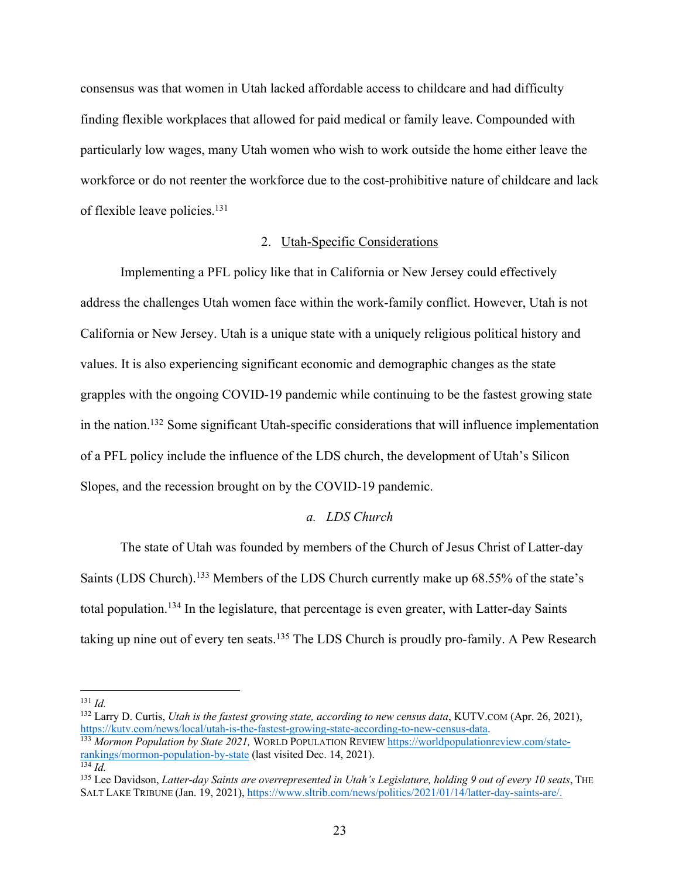consensus was that women in Utah lacked affordable access to childcare and had difficulty finding flexible workplaces that allowed for paid medical or family leave. Compounded with particularly low wages, many Utah women who wish to work outside the home either leave the workforce or do not reenter the workforce due to the cost-prohibitive nature of childcare and lack of flexible leave policies.<sup>131</sup>

#### 2. Utah-Specific Considerations

Implementing a PFL policy like that in California or New Jersey could effectively address the challenges Utah women face within the work-family conflict. However, Utah is not California or New Jersey. Utah is a unique state with a uniquely religious political history and values. It is also experiencing significant economic and demographic changes as the state grapples with the ongoing COVID-19 pandemic while continuing to be the fastest growing state in the nation.132 Some significant Utah-specific considerations that will influence implementation of a PFL policy include the influence of the LDS church, the development of Utah's Silicon Slopes, and the recession brought on by the COVID-19 pandemic.

# *a. LDS Church*

The state of Utah was founded by members of the Church of Jesus Christ of Latter-day Saints (LDS Church).<sup>133</sup> Members of the LDS Church currently make up 68.55% of the state's total population.<sup>134</sup> In the legislature, that percentage is even greater, with Latter-day Saints taking up nine out of every ten seats.<sup>135</sup> The LDS Church is proudly pro-family. A Pew Research

 $131$  *Id.* 

<sup>132</sup> Larry D. Curtis, *Utah is the fastest growing state, according to new census data*, KUTV.COM (Apr. 26, 2021), https://kutv.com/news/local/utah-is-the-fastest-growing-state-according-to-new-census-data.

<sup>133</sup> *Mormon Population by State 2021,* WORLD POPULATION REVIEW https://worldpopulationreview.com/staterankings/mormon-population-by-state (last visited Dec. 14, 2021). <sup>134</sup> *Id.* 

<sup>&</sup>lt;sup>135</sup> Lee Davidson, *Latter-day Saints are overrepresented in Utah's Legislature, holding 9 out of every 10 seats*, THE SALT LAKE TRIBUNE (Jan. 19, 2021), https://www.sltrib.com/news/politics/2021/01/14/latter-day-saints-are/.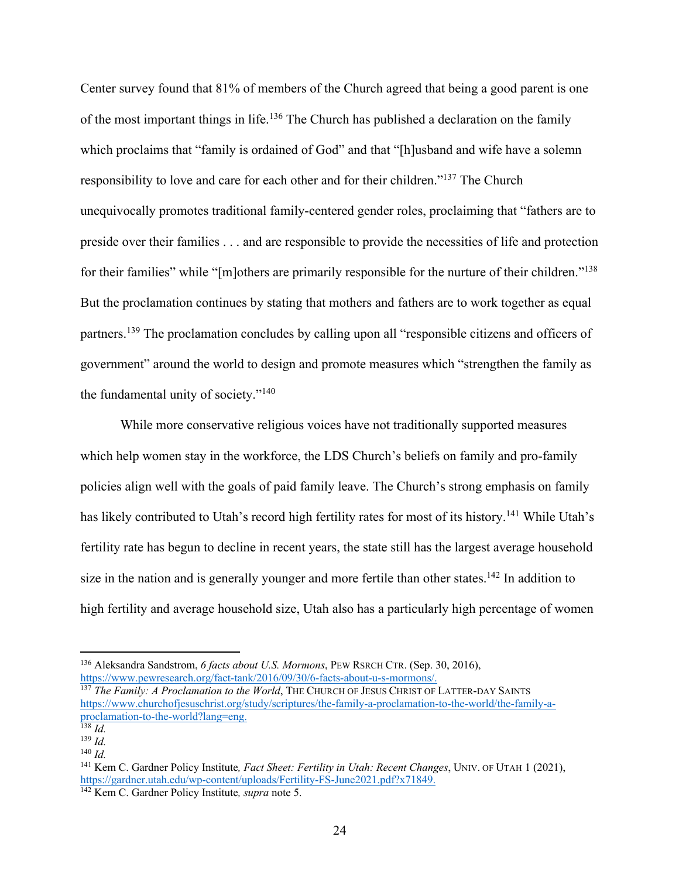Center survey found that 81% of members of the Church agreed that being a good parent is one of the most important things in life.<sup>136</sup> The Church has published a declaration on the family which proclaims that "family is ordained of God" and that "[h]usband and wife have a solemn responsibility to love and care for each other and for their children."137 The Church unequivocally promotes traditional family-centered gender roles, proclaiming that "fathers are to preside over their families . . . and are responsible to provide the necessities of life and protection for their families" while "[m]others are primarily responsible for the nurture of their children."<sup>138</sup> But the proclamation continues by stating that mothers and fathers are to work together as equal partners.139 The proclamation concludes by calling upon all "responsible citizens and officers of government" around the world to design and promote measures which "strengthen the family as the fundamental unity of society."140

While more conservative religious voices have not traditionally supported measures which help women stay in the workforce, the LDS Church's beliefs on family and pro-family policies align well with the goals of paid family leave. The Church's strong emphasis on family has likely contributed to Utah's record high fertility rates for most of its history.<sup>141</sup> While Utah's fertility rate has begun to decline in recent years, the state still has the largest average household size in the nation and is generally younger and more fertile than other states.<sup>142</sup> In addition to high fertility and average household size, Utah also has a particularly high percentage of women

<sup>&</sup>lt;sup>136</sup> Aleksandra Sandstrom, *6 facts about U.S. Mormons*, PEW RSRCH CTR. (Sep. 30, 2016), https://www.pewresearch.org/fact-tank/2016/09/30/6-facts-about-u-s-mormons/.

<sup>&</sup>lt;sup>137</sup> The Family: A Proclamation to the World, THE CHURCH OF JESUS CHRIST OF LATTER-DAY SAINTS https://www.churchofjesuschrist.org/study/scriptures/the-family-a-proclamation-to-the-world/the-family-aproclamation-to-the-world?lang=eng. 138 *Id.* 

<sup>139</sup> *Id.*

<sup>140</sup> *Id.*

<sup>141</sup> Kem C. Gardner Policy Institute*, Fact Sheet: Fertility in Utah: Recent Changes*, UNIV. OF UTAH 1 (2021), https://gardner.utah.edu/wp-content/uploads/Fertility-FS-June2021.pdf?x71849. 142 Kem C. Gardner Policy Institute*, supra* note 5.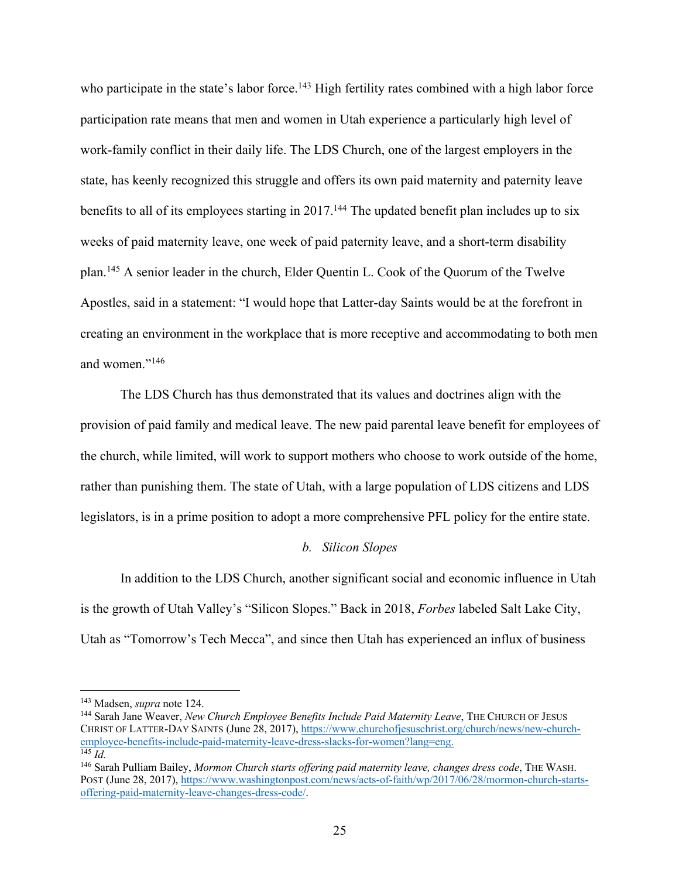who participate in the state's labor force.<sup>143</sup> High fertility rates combined with a high labor force participation rate means that men and women in Utah experience a particularly high level of work-family conflict in their daily life. The LDS Church, one of the largest employers in the state, has keenly recognized this struggle and offers its own paid maternity and paternity leave benefits to all of its employees starting in 2017.<sup>144</sup> The updated benefit plan includes up to six weeks of paid maternity leave, one week of paid paternity leave, and a short-term disability plan.145 A senior leader in the church, Elder Quentin L. Cook of the Quorum of the Twelve Apostles, said in a statement: "I would hope that Latter-day Saints would be at the forefront in creating an environment in the workplace that is more receptive and accommodating to both men and women."146

The LDS Church has thus demonstrated that its values and doctrines align with the provision of paid family and medical leave. The new paid parental leave benefit for employees of the church, while limited, will work to support mothers who choose to work outside of the home, rather than punishing them. The state of Utah, with a large population of LDS citizens and LDS legislators, is in a prime position to adopt a more comprehensive PFL policy for the entire state.

#### *b. Silicon Slopes*

In addition to the LDS Church, another significant social and economic influence in Utah is the growth of Utah Valley's "Silicon Slopes." Back in 2018, *Forbes* labeled Salt Lake City, Utah as "Tomorrow's Tech Mecca", and since then Utah has experienced an influx of business

<sup>&</sup>lt;sup>143</sup> Madsen, *supra* note 124.<br><sup>144</sup> Sarah Jane Weaver, *New Church Employee Benefits Include Paid Maternity Leave*, THE CHURCH OF JESUS CHRIST OF LATTER-DAY SAINTS (June 28, 2017), https://www.churchofjesuschrist.org/church/news/new-churchemployee-benefits-include-paid-maternity-leave-dress-slacks-for-women?lang=eng. 145 *Id.* 

<sup>146</sup> Sarah Pulliam Bailey, *Mormon Church starts offering paid maternity leave, changes dress code*, THE WASH. POST (June 28, 2017), https://www.washingtonpost.com/news/acts-of-faith/wp/2017/06/28/mormon-church-startsoffering-paid-maternity-leave-changes-dress-code/.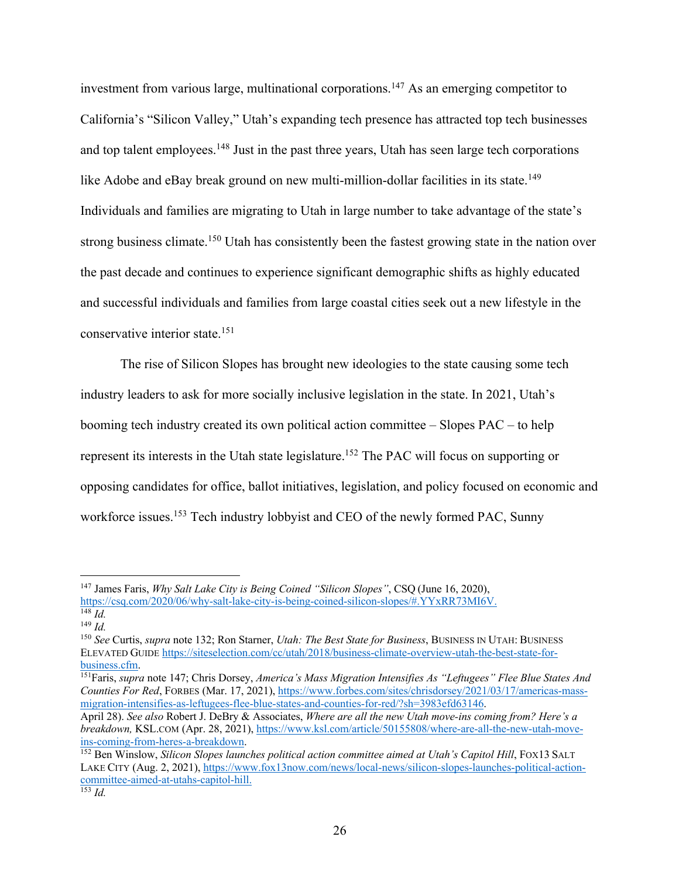investment from various large, multinational corporations.147 As an emerging competitor to California's "Silicon Valley," Utah's expanding tech presence has attracted top tech businesses and top talent employees.<sup>148</sup> Just in the past three years, Utah has seen large tech corporations like Adobe and eBay break ground on new multi-million-dollar facilities in its state.<sup>149</sup> Individuals and families are migrating to Utah in large number to take advantage of the state's strong business climate.<sup>150</sup> Utah has consistently been the fastest growing state in the nation over the past decade and continues to experience significant demographic shifts as highly educated and successful individuals and families from large coastal cities seek out a new lifestyle in the conservative interior state.151

The rise of Silicon Slopes has brought new ideologies to the state causing some tech industry leaders to ask for more socially inclusive legislation in the state. In 2021, Utah's booming tech industry created its own political action committee – Slopes PAC – to help represent its interests in the Utah state legislature.152 The PAC will focus on supporting or opposing candidates for office, ballot initiatives, legislation, and policy focused on economic and workforce issues.<sup>153</sup> Tech industry lobbyist and CEO of the newly formed PAC, Sunny

<sup>147</sup> James Faris, *Why Salt Lake City is Being Coined "Silicon Slopes"*, CSQ (June 16, 2020), https://csq.com/2020/06/why-salt-lake-city-is-being-coined-silicon-slopes/#.YYxRR73MI6V. 148 *Id.* 

<sup>149</sup> *Id.*

<sup>150</sup> *See* Curtis, *supra* note 132; Ron Starner, *Utah: The Best State for Business*, BUSINESS IN UTAH: BUSINESS ELEVATED GUIDE https://siteselection.com/cc/utah/2018/business-climate-overview-utah-the-best-state-forbusiness.cfm. 151Faris, *supra* note 147; Chris Dorsey, *America's Mass Migration Intensifies As "Leftugees" Flee Blue States And* 

*Counties For Red*, FORBES (Mar. 17, 2021), https://www.forbes.com/sites/chrisdorsey/2021/03/17/americas-massmigration-intensifies-as-leftugees-flee-blue-states-and-counties-for-red/?sh=3983efd63146.

April 28). *See also* Robert J. DeBry & Associates, *Where are all the new Utah move-ins coming from? Here's a breakdown,* KSL.COM (Apr. 28, 2021), https://www.ksl.com/article/50155808/where-are-all-the-new-utah-moveins-coming-from-heres-a-breakdown. 152 Ben Winslow, *Silicon Slopes launches political action committee aimed at Utah's Capitol Hill*, FOX13 SALT

LAKE CITY (Aug. 2, 2021), https://www.fox13now.com/news/local-news/silicon-slopes-launches-political-actioncommittee-aimed-at-utahs-capitol-hill.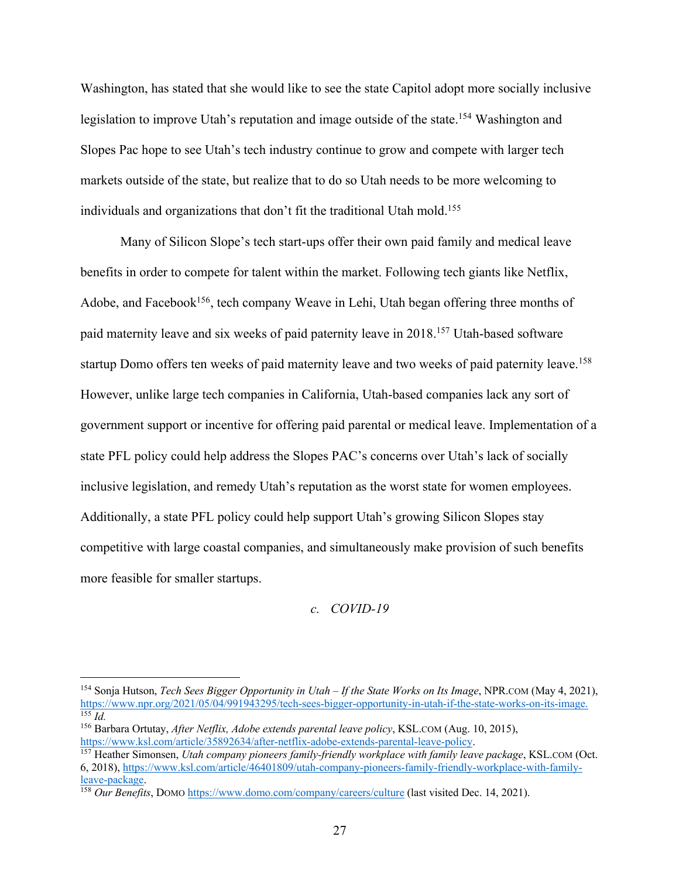Washington, has stated that she would like to see the state Capitol adopt more socially inclusive legislation to improve Utah's reputation and image outside of the state.<sup>154</sup> Washington and Slopes Pac hope to see Utah's tech industry continue to grow and compete with larger tech markets outside of the state, but realize that to do so Utah needs to be more welcoming to individuals and organizations that don't fit the traditional Utah mold.<sup>155</sup>

Many of Silicon Slope's tech start-ups offer their own paid family and medical leave benefits in order to compete for talent within the market. Following tech giants like Netflix, Adobe, and Facebook<sup>156</sup>, tech company Weave in Lehi, Utah began offering three months of paid maternity leave and six weeks of paid paternity leave in 2018.157 Utah-based software startup Domo offers ten weeks of paid maternity leave and two weeks of paid paternity leave.<sup>158</sup> However, unlike large tech companies in California, Utah-based companies lack any sort of government support or incentive for offering paid parental or medical leave. Implementation of a state PFL policy could help address the Slopes PAC's concerns over Utah's lack of socially inclusive legislation, and remedy Utah's reputation as the worst state for women employees. Additionally, a state PFL policy could help support Utah's growing Silicon Slopes stay competitive with large coastal companies, and simultaneously make provision of such benefits more feasible for smaller startups.

#### *c. COVID-19*

<sup>154</sup> Sonja Hutson, *Tech Sees Bigger Opportunity in Utah – If the State Works on Its Image*, NPR.COM (May 4, 2021), https://www.npr.org/2021/05/04/991943295/tech-sees-bigger-opportunity-in-utah-if-the-state-works-on-its-image. 155 *Id.* 

<sup>156</sup> Barbara Ortutay, *After Netflix, Adobe extends parental leave policy*, KSL.COM (Aug. 10, 2015), https://www.ksl.com/article/35892634/after-netflix-adobe-extends-parental-leave-policy. 157 Heather Simonsen, *Utah company pioneers family-friendly workplace with family leave package*, KSL.COM (Oct.

<sup>6, 2018),</sup> https://www.ksl.com/article/46401809/utah-company-pioneers-family-friendly-workplace-with-familyleave-package. 158 *Our Benefits*, DOMO https://www.domo.com/company/careers/culture (last visited Dec. 14, 2021).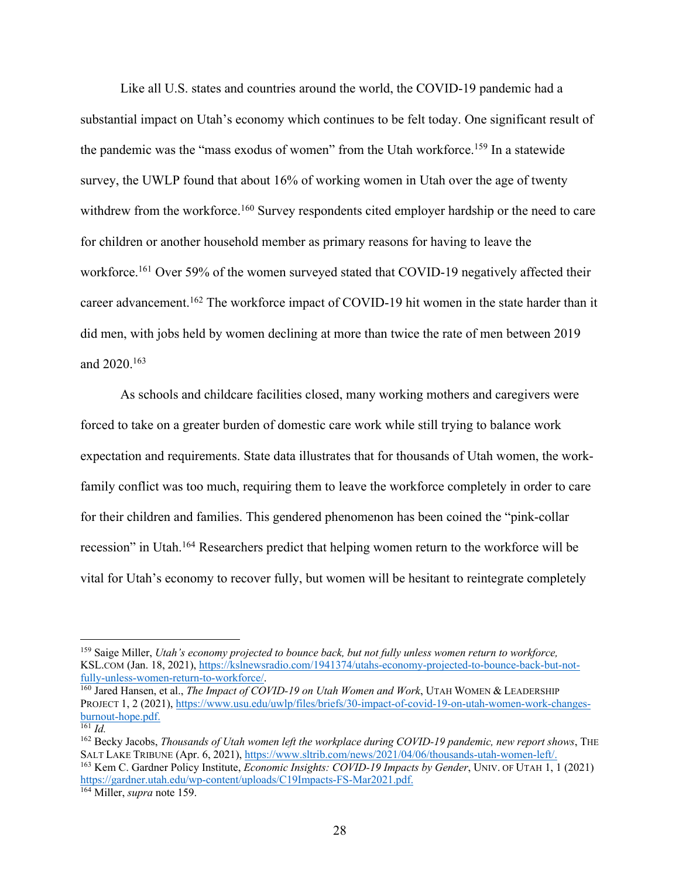Like all U.S. states and countries around the world, the COVID-19 pandemic had a substantial impact on Utah's economy which continues to be felt today. One significant result of the pandemic was the "mass exodus of women" from the Utah workforce.<sup>159</sup> In a statewide survey, the UWLP found that about 16% of working women in Utah over the age of twenty withdrew from the workforce.<sup>160</sup> Survey respondents cited employer hardship or the need to care for children or another household member as primary reasons for having to leave the workforce.<sup>161</sup> Over 59% of the women surveyed stated that COVID-19 negatively affected their career advancement.<sup>162</sup> The workforce impact of COVID-19 hit women in the state harder than it did men, with jobs held by women declining at more than twice the rate of men between 2019 and 2020.163

As schools and childcare facilities closed, many working mothers and caregivers were forced to take on a greater burden of domestic care work while still trying to balance work expectation and requirements. State data illustrates that for thousands of Utah women, the workfamily conflict was too much, requiring them to leave the workforce completely in order to care for their children and families. This gendered phenomenon has been coined the "pink-collar recession" in Utah.164 Researchers predict that helping women return to the workforce will be vital for Utah's economy to recover fully, but women will be hesitant to reintegrate completely

<sup>159</sup> Saige Miller, *Utah's economy projected to bounce back, but not fully unless women return to workforce,* KSL.COM (Jan. 18, 2021), https://kslnewsradio.com/1941374/utahs-economy-projected-to-bounce-back-but-not-fully-unless-women-return-to-workforce/.

<sup>&</sup>lt;sup>160</sup> Jared Hansen, et al., *The Impact of COVID-19 on Utah Women and Work*, UTAH WOMEN & LEADERSHIP PROJECT 1, 2 (2021), https://www.usu.edu/uwlp/files/briefs/30-impact-of-covid-19-on-utah-women-work-changesburnout-hope.pdf. 161 *Id.* 

<sup>&</sup>lt;sup>162</sup> Becky Jacobs, *Thousands of Utah women left the workplace during COVID-19 pandemic, new report shows*, THE SALT LAKE TRIBUNE (Apr. 6, 2021), https://www.sltrib.com/news/2021/04/06/thousands-utah-women-left/. <sup>163</sup> Kem C. Gardner Policy Institute, *Economic Insights: COVID-19 Impacts by Gender*, UNIV. OF UTAH 1, 1 (2021)

https://gardner.utah.edu/wp-content/uploads/C19Impacts-FS-Mar2021.pdf. 164 Miller, *supra* note 159.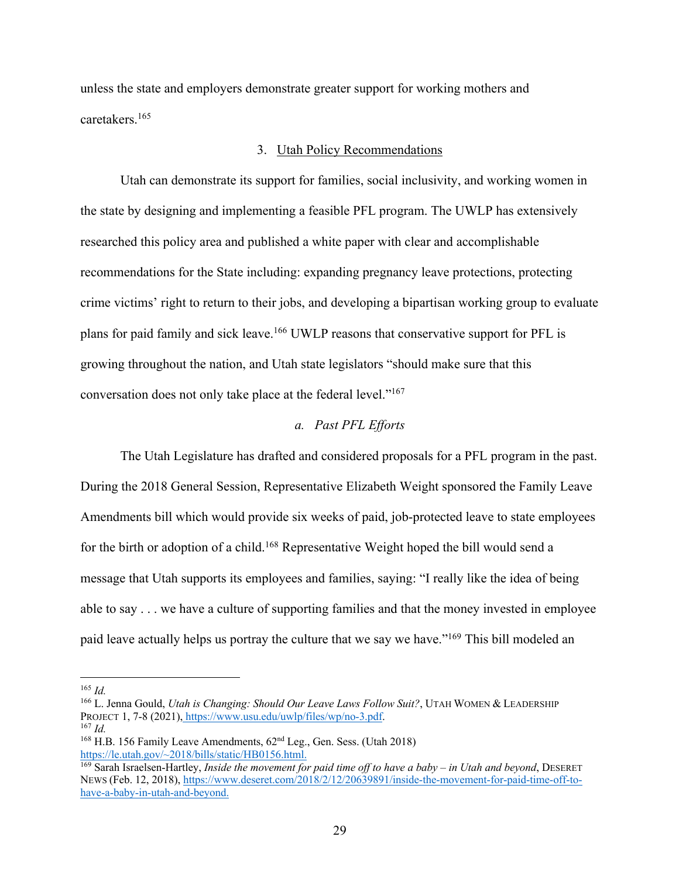unless the state and employers demonstrate greater support for working mothers and caretakers.165

#### 3. Utah Policy Recommendations

Utah can demonstrate its support for families, social inclusivity, and working women in the state by designing and implementing a feasible PFL program. The UWLP has extensively researched this policy area and published a white paper with clear and accomplishable recommendations for the State including: expanding pregnancy leave protections, protecting crime victims' right to return to their jobs, and developing a bipartisan working group to evaluate plans for paid family and sick leave.166 UWLP reasons that conservative support for PFL is growing throughout the nation, and Utah state legislators "should make sure that this conversation does not only take place at the federal level."167

# *a. Past PFL Efforts*

The Utah Legislature has drafted and considered proposals for a PFL program in the past. During the 2018 General Session, Representative Elizabeth Weight sponsored the Family Leave Amendments bill which would provide six weeks of paid, job-protected leave to state employees for the birth or adoption of a child.<sup>168</sup> Representative Weight hoped the bill would send a message that Utah supports its employees and families, saying: "I really like the idea of being able to say . . . we have a culture of supporting families and that the money invested in employee paid leave actually helps us portray the culture that we say we have."169 This bill modeled an

 $165$  *Id.* 

<sup>166</sup> L. Jenna Gould, *Utah is Changing: Should Our Leave Laws Follow Suit?*, UTAH WOMEN & LEADERSHIP PROJECT 1, 7-8 (2021), https://www.usu.edu/uwlp/files/wp/no-3.pdf.

 $167$  *Id.* 

<sup>&</sup>lt;sup>168</sup> H.B. 156 Family Leave Amendments,  $62<sup>nd</sup>$  Leg., Gen. Sess. (Utah 2018) https://le.utah.gov/ $\sim$ 2018/bills/static/HB0156.html.

<sup>&</sup>lt;sup>169</sup> Sarah Israelsen-Hartley, *Inside the movement for paid time off to have a baby – in Utah and beyond*, DESERET NEWS (Feb. 12, 2018), https://www.deseret.com/2018/2/12/20639891/inside-the-movement-for-paid-time-off-tohave-a-baby-in-utah-and-beyond.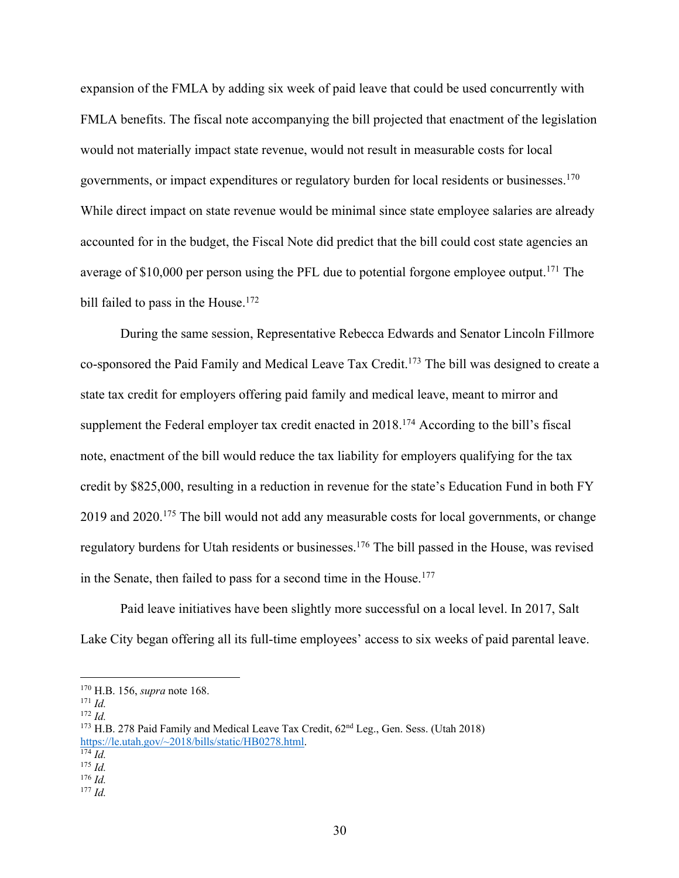expansion of the FMLA by adding six week of paid leave that could be used concurrently with FMLA benefits. The fiscal note accompanying the bill projected that enactment of the legislation would not materially impact state revenue, would not result in measurable costs for local governments, or impact expenditures or regulatory burden for local residents or businesses.170 While direct impact on state revenue would be minimal since state employee salaries are already accounted for in the budget, the Fiscal Note did predict that the bill could cost state agencies an average of  $$10,000$  per person using the PFL due to potential forgone employee output.<sup>171</sup> The bill failed to pass in the House.<sup>172</sup>

During the same session, Representative Rebecca Edwards and Senator Lincoln Fillmore co-sponsored the Paid Family and Medical Leave Tax Credit.<sup>173</sup> The bill was designed to create a state tax credit for employers offering paid family and medical leave, meant to mirror and supplement the Federal employer tax credit enacted in 2018.<sup>174</sup> According to the bill's fiscal note, enactment of the bill would reduce the tax liability for employers qualifying for the tax credit by \$825,000, resulting in a reduction in revenue for the state's Education Fund in both FY 2019 and 2020.<sup>175</sup> The bill would not add any measurable costs for local governments, or change regulatory burdens for Utah residents or businesses.176 The bill passed in the House, was revised in the Senate, then failed to pass for a second time in the House. 177

Paid leave initiatives have been slightly more successful on a local level. In 2017, Salt Lake City began offering all its full-time employees' access to six weeks of paid parental leave.

<sup>172</sup> *Id.* 

<sup>170</sup> H.B. 156, *supra* note 168. 171 *Id.* 

<sup>&</sup>lt;sup>173</sup> H.B. 278 Paid Family and Medical Leave Tax Credit,  $62<sup>nd</sup>$  Leg., Gen. Sess. (Utah 2018) https://le.utah.gov/~2018/bills/static/HB0278.html. 174 *Id.* 

 $175$  *Id.* <sup>176</sup> *Id.* 

<sup>177</sup> *Id.*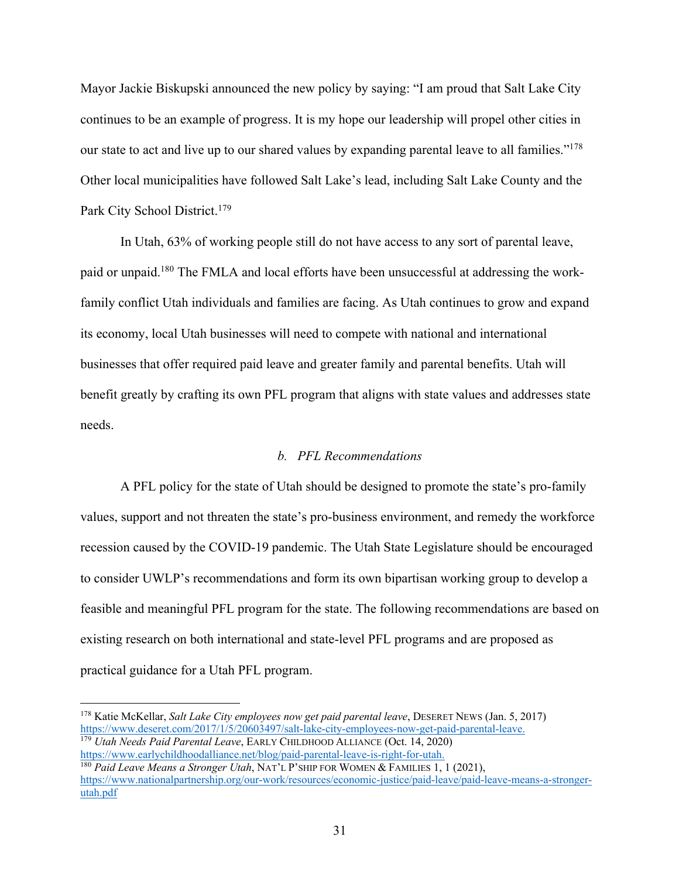Mayor Jackie Biskupski announced the new policy by saying: "I am proud that Salt Lake City continues to be an example of progress. It is my hope our leadership will propel other cities in our state to act and live up to our shared values by expanding parental leave to all families."178 Other local municipalities have followed Salt Lake's lead, including Salt Lake County and the Park City School District.<sup>179</sup>

In Utah, 63% of working people still do not have access to any sort of parental leave, paid or unpaid.<sup>180</sup> The FMLA and local efforts have been unsuccessful at addressing the workfamily conflict Utah individuals and families are facing. As Utah continues to grow and expand its economy, local Utah businesses will need to compete with national and international businesses that offer required paid leave and greater family and parental benefits. Utah will benefit greatly by crafting its own PFL program that aligns with state values and addresses state needs.

#### *b. PFL Recommendations*

A PFL policy for the state of Utah should be designed to promote the state's pro-family values, support and not threaten the state's pro-business environment, and remedy the workforce recession caused by the COVID-19 pandemic. The Utah State Legislature should be encouraged to consider UWLP's recommendations and form its own bipartisan working group to develop a feasible and meaningful PFL program for the state. The following recommendations are based on existing research on both international and state-level PFL programs and are proposed as practical guidance for a Utah PFL program.

<sup>178</sup> Katie McKellar, *Salt Lake City employees now get paid parental leave*, DESERET NEWS (Jan. 5, 2017) https://www.deseret.com/2017/1/5/20603497/salt-lake-city-employees-now-get-paid-parental-leave.<br><sup>179</sup> *Utah Needs Paid Parental Leave*, EARLY CHILDHOOD ALLIANCE (Oct. 14, 2020)<br>https://www.earlychildhoodalliance.net/blog/p

<sup>&</sup>lt;sup>180</sup> Paid Leave Means a Stronger Utah, NAT'L P'SHIP FOR WOMEN & FAMILIES 1, 1 (2021), https://www.nationalpartnership.org/our-work/resources/economic-justice/paid-leave/paid-leave-means-a-strongerutah.pdf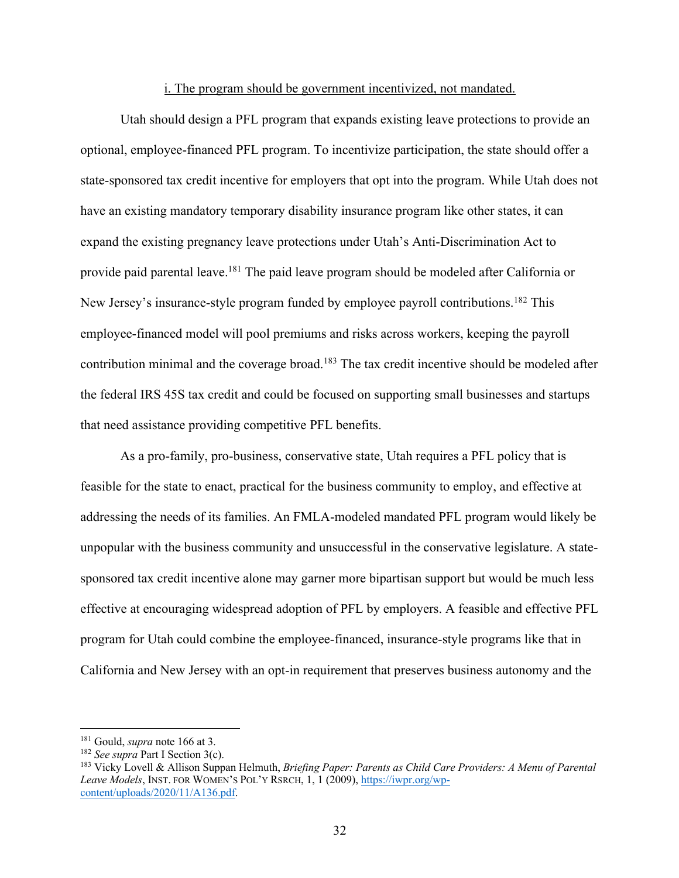#### i. The program should be government incentivized, not mandated.

Utah should design a PFL program that expands existing leave protections to provide an optional, employee-financed PFL program. To incentivize participation, the state should offer a state-sponsored tax credit incentive for employers that opt into the program. While Utah does not have an existing mandatory temporary disability insurance program like other states, it can expand the existing pregnancy leave protections under Utah's Anti-Discrimination Act to provide paid parental leave.<sup>181</sup> The paid leave program should be modeled after California or New Jersey's insurance-style program funded by employee payroll contributions.<sup>182</sup> This employee-financed model will pool premiums and risks across workers, keeping the payroll contribution minimal and the coverage broad.<sup>183</sup> The tax credit incentive should be modeled after the federal IRS 45S tax credit and could be focused on supporting small businesses and startups that need assistance providing competitive PFL benefits.

As a pro-family, pro-business, conservative state, Utah requires a PFL policy that is feasible for the state to enact, practical for the business community to employ, and effective at addressing the needs of its families. An FMLA-modeled mandated PFL program would likely be unpopular with the business community and unsuccessful in the conservative legislature. A statesponsored tax credit incentive alone may garner more bipartisan support but would be much less effective at encouraging widespread adoption of PFL by employers. A feasible and effective PFL program for Utah could combine the employee-financed, insurance-style programs like that in California and New Jersey with an opt-in requirement that preserves business autonomy and the

<sup>&</sup>lt;sup>181</sup> Gould, *supra* note 166 at 3.<br><sup>182</sup> See supra Part I Section 3(c).

<sup>&</sup>lt;sup>183</sup> Vicky Lovell & Allison Suppan Helmuth, *Briefing Paper: Parents as Child Care Providers: A Menu of Parental* Leave Models, INST. FOR WOMEN'S POL'Y RSRCH, 1, 1 (2009), https://iwpr.org/wpcontent/uploads/2020/11/A136.pdf.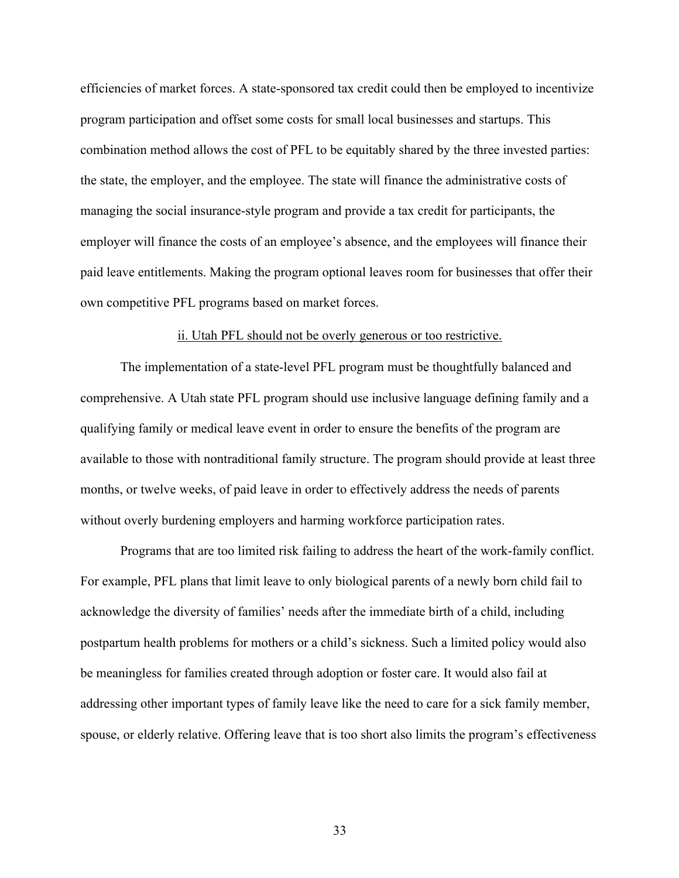efficiencies of market forces. A state-sponsored tax credit could then be employed to incentivize program participation and offset some costs for small local businesses and startups. This combination method allows the cost of PFL to be equitably shared by the three invested parties: the state, the employer, and the employee. The state will finance the administrative costs of managing the social insurance-style program and provide a tax credit for participants, the employer will finance the costs of an employee's absence, and the employees will finance their paid leave entitlements. Making the program optional leaves room for businesses that offer their own competitive PFL programs based on market forces.

# ii. Utah PFL should not be overly generous or too restrictive.

The implementation of a state-level PFL program must be thoughtfully balanced and comprehensive. A Utah state PFL program should use inclusive language defining family and a qualifying family or medical leave event in order to ensure the benefits of the program are available to those with nontraditional family structure. The program should provide at least three months, or twelve weeks, of paid leave in order to effectively address the needs of parents without overly burdening employers and harming workforce participation rates.

Programs that are too limited risk failing to address the heart of the work-family conflict. For example, PFL plans that limit leave to only biological parents of a newly born child fail to acknowledge the diversity of families' needs after the immediate birth of a child, including postpartum health problems for mothers or a child's sickness. Such a limited policy would also be meaningless for families created through adoption or foster care. It would also fail at addressing other important types of family leave like the need to care for a sick family member, spouse, or elderly relative. Offering leave that is too short also limits the program's effectiveness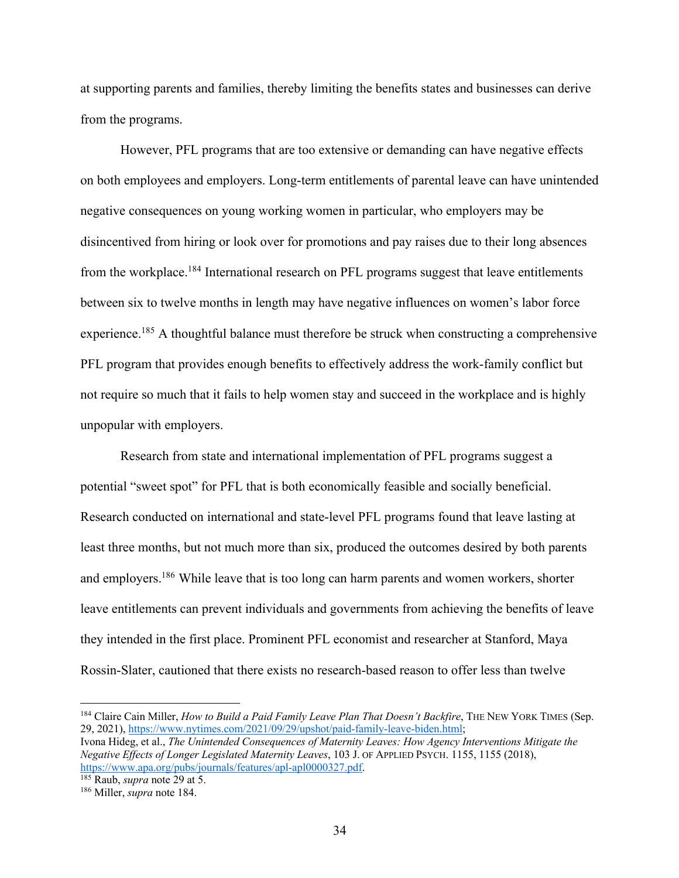at supporting parents and families, thereby limiting the benefits states and businesses can derive from the programs.

However, PFL programs that are too extensive or demanding can have negative effects on both employees and employers. Long-term entitlements of parental leave can have unintended negative consequences on young working women in particular, who employers may be disincentived from hiring or look over for promotions and pay raises due to their long absences from the workplace.<sup>184</sup> International research on PFL programs suggest that leave entitlements between six to twelve months in length may have negative influences on women's labor force experience.<sup>185</sup> A thoughtful balance must therefore be struck when constructing a comprehensive PFL program that provides enough benefits to effectively address the work-family conflict but not require so much that it fails to help women stay and succeed in the workplace and is highly unpopular with employers.

Research from state and international implementation of PFL programs suggest a potential "sweet spot" for PFL that is both economically feasible and socially beneficial. Research conducted on international and state-level PFL programs found that leave lasting at least three months, but not much more than six, produced the outcomes desired by both parents and employers.<sup>186</sup> While leave that is too long can harm parents and women workers, shorter leave entitlements can prevent individuals and governments from achieving the benefits of leave they intended in the first place. Prominent PFL economist and researcher at Stanford, Maya Rossin-Slater, cautioned that there exists no research-based reason to offer less than twelve

<sup>184</sup> Claire Cain Miller, *How to Build a Paid Family Leave Plan That Doesn't Backfire*, THE NEW YORK TIMES (Sep. 29, 2021), https://www.nytimes.com/2021/09/29/upshot/paid-family-leave-biden.html;

Ivona Hideg, et al., *The Unintended Consequences of Maternity Leaves: How Agency Interventions Mitigate the Negative Effects of Longer Legislated Maternity Leaves*, 103 J. OF APPLIED PSYCH. 1155, 1155 (2018), https://www.apa.org/pubs/journals/features/apl-apl0000327.pdf. 185 Raub, *supra* note 29 at 5. 186 Miller, *supra* note 184.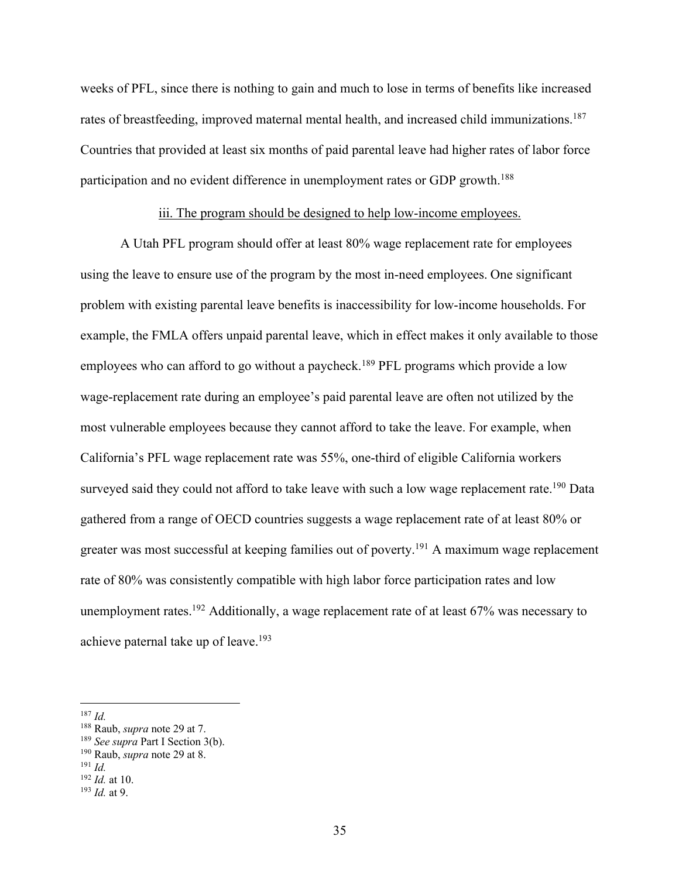weeks of PFL, since there is nothing to gain and much to lose in terms of benefits like increased rates of breastfeeding, improved maternal mental health, and increased child immunizations.<sup>187</sup> Countries that provided at least six months of paid parental leave had higher rates of labor force participation and no evident difference in unemployment rates or GDP growth.<sup>188</sup>

# iii. The program should be designed to help low-income employees.

A Utah PFL program should offer at least 80% wage replacement rate for employees using the leave to ensure use of the program by the most in-need employees. One significant problem with existing parental leave benefits is inaccessibility for low-income households. For example, the FMLA offers unpaid parental leave, which in effect makes it only available to those employees who can afford to go without a paycheck.<sup>189</sup> PFL programs which provide a low wage-replacement rate during an employee's paid parental leave are often not utilized by the most vulnerable employees because they cannot afford to take the leave. For example, when California's PFL wage replacement rate was 55%, one-third of eligible California workers surveyed said they could not afford to take leave with such a low wage replacement rate.<sup>190</sup> Data gathered from a range of OECD countries suggests a wage replacement rate of at least 80% or greater was most successful at keeping families out of poverty.191 A maximum wage replacement rate of 80% was consistently compatible with high labor force participation rates and low unemployment rates.<sup>192</sup> Additionally, a wage replacement rate of at least  $67\%$  was necessary to achieve paternal take up of leave.<sup>193</sup>

<sup>&</sup>lt;sup>187</sup> *Id.* **Raub**, *supra* note 29 at 7.

<sup>&</sup>lt;sup>189</sup> See supra Part I Section 3(b).

<sup>190</sup> Raub, *supra* note 29 at 8.

<sup>191</sup> *Id.* 

<sup>192</sup> *Id.* at 10.

<sup>193</sup> *Id.* at 9.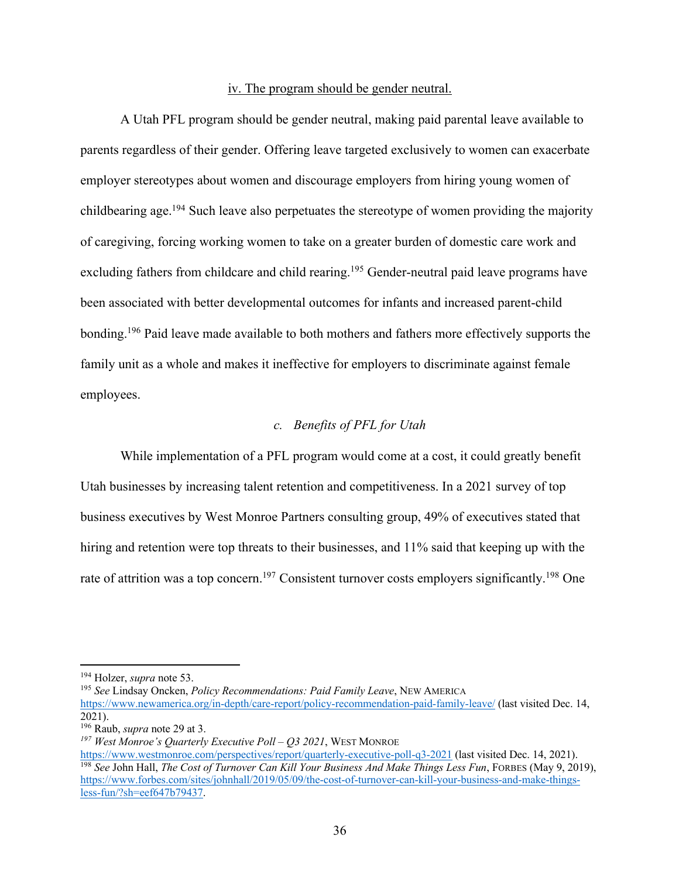#### iv. The program should be gender neutral.

A Utah PFL program should be gender neutral, making paid parental leave available to parents regardless of their gender. Offering leave targeted exclusively to women can exacerbate employer stereotypes about women and discourage employers from hiring young women of childbearing age.<sup>194</sup> Such leave also perpetuates the stereotype of women providing the majority of caregiving, forcing working women to take on a greater burden of domestic care work and excluding fathers from childcare and child rearing.<sup>195</sup> Gender-neutral paid leave programs have been associated with better developmental outcomes for infants and increased parent-child bonding.196 Paid leave made available to both mothers and fathers more effectively supports the family unit as a whole and makes it ineffective for employers to discriminate against female employees.

# *c. Benefits of PFL for Utah*

While implementation of a PFL program would come at a cost, it could greatly benefit Utah businesses by increasing talent retention and competitiveness. In a 2021 survey of top business executives by West Monroe Partners consulting group, 49% of executives stated that hiring and retention were top threats to their businesses, and 11% said that keeping up with the rate of attrition was a top concern.<sup>197</sup> Consistent turnover costs employers significantly.<sup>198</sup> One

<sup>&</sup>lt;sup>194</sup> Holzer, *supra* note 53.<br><sup>195</sup> *See Lindsay Oncken, Policy Recommendations: Paid Family Leave*, NEW AMERICA https://www.newamerica.org/in-depth/care-report/policy-recommendation-paid-family-leave/ (last visited Dec. 14, 2021).

<sup>196</sup> Raub, *supra* note 29 at 3.

<sup>&</sup>lt;sup>197</sup> West Monroe's Quarterly Executive Poll – Q3 2021, WEST MONROE<br>https://www.westmonroe.com/perspectives/report/quarterly-executive-poll-q3-2021 (last visited Dec. 14, 2021). <sup>198</sup> See John Hall, *The Cost of Turnover Can Kill Your Business And Make Things Less Fun*, FORBES (May 9, 2019), https://www.forbes.com/sites/johnhall/2019/05/09/the-cost-of-turnover-can-kill-your-business-and-make-thingsless-fun/?sh=eef647b79437.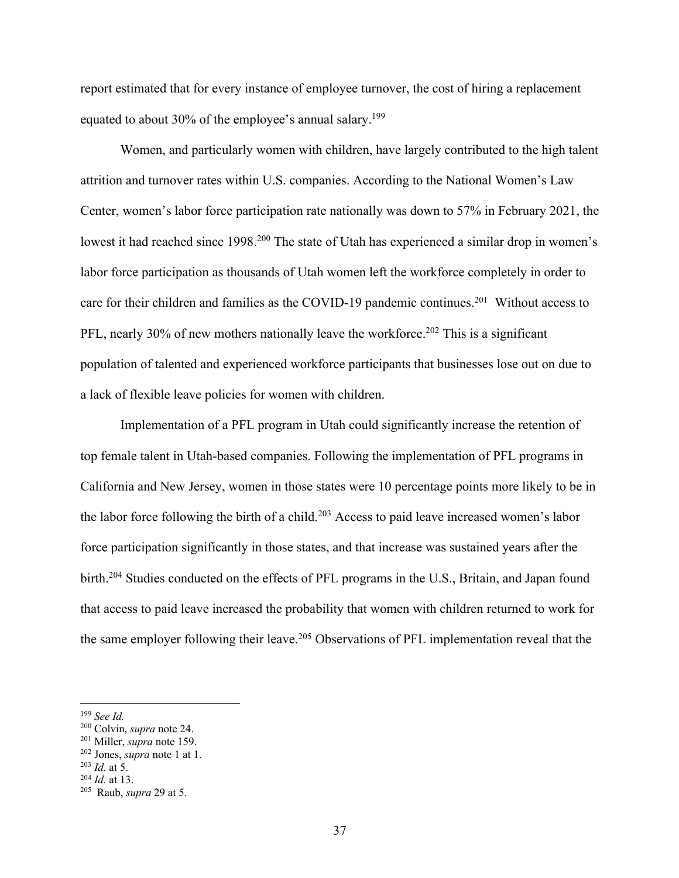report estimated that for every instance of employee turnover, the cost of hiring a replacement equated to about 30% of the employee's annual salary.<sup>199</sup>

Women, and particularly women with children, have largely contributed to the high talent attrition and turnover rates within U.S. companies. According to the National Women's Law Center, women's labor force participation rate nationally was down to 57% in February 2021, the lowest it had reached since 1998.<sup>200</sup> The state of Utah has experienced a similar drop in women's labor force participation as thousands of Utah women left the workforce completely in order to care for their children and families as the COVID-19 pandemic continues.<sup>201</sup> Without access to PFL, nearly 30% of new mothers nationally leave the workforce.<sup>202</sup> This is a significant population of talented and experienced workforce participants that businesses lose out on due to a lack of flexible leave policies for women with children.

Implementation of a PFL program in Utah could significantly increase the retention of top female talent in Utah-based companies. Following the implementation of PFL programs in California and New Jersey, women in those states were 10 percentage points more likely to be in the labor force following the birth of a child.<sup>203</sup> Access to paid leave increased women's labor force participation significantly in those states, and that increase was sustained years after the birth.204 Studies conducted on the effects of PFL programs in the U.S., Britain, and Japan found that access to paid leave increased the probability that women with children returned to work for the same employer following their leave.<sup>205</sup> Observations of PFL implementation reveal that the

<sup>&</sup>lt;sup>199</sup> *See Id.* <sup>200</sup> Colvin, *supra* note 24.

<sup>&</sup>lt;sup>201</sup> Miller, *supra* note 159.<br><sup>202</sup> Jones, *supra* note 1 at 1.<br><sup>203</sup> *Id.* at 5.

<sup>204</sup> *Id.* at 13.

<sup>205</sup> Raub, *supra* 29 at 5.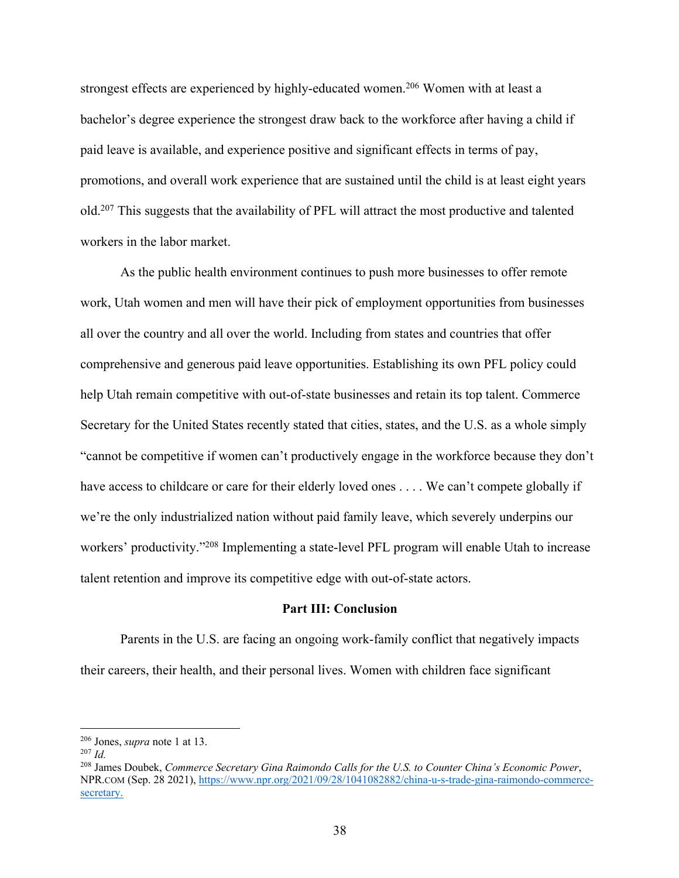strongest effects are experienced by highly-educated women.<sup>206</sup> Women with at least a bachelor's degree experience the strongest draw back to the workforce after having a child if paid leave is available, and experience positive and significant effects in terms of pay, promotions, and overall work experience that are sustained until the child is at least eight years old.207 This suggests that the availability of PFL will attract the most productive and talented workers in the labor market.

As the public health environment continues to push more businesses to offer remote work, Utah women and men will have their pick of employment opportunities from businesses all over the country and all over the world. Including from states and countries that offer comprehensive and generous paid leave opportunities. Establishing its own PFL policy could help Utah remain competitive with out-of-state businesses and retain its top talent. Commerce Secretary for the United States recently stated that cities, states, and the U.S. as a whole simply "cannot be competitive if women can't productively engage in the workforce because they don't have access to childcare or care for their elderly loved ones . . . . We can't compete globally if we're the only industrialized nation without paid family leave, which severely underpins our workers' productivity."<sup>208</sup> Implementing a state-level PFL program will enable Utah to increase talent retention and improve its competitive edge with out-of-state actors.

### **Part III: Conclusion**

Parents in the U.S. are facing an ongoing work-family conflict that negatively impacts their careers, their health, and their personal lives. Women with children face significant

<sup>206</sup> Jones, *supra* note 1 at 13. 207 *Id.* 

<sup>208</sup> James Doubek, *Commerce Secretary Gina Raimondo Calls for the U.S. to Counter China's Economic Power*, NPR.COM (Sep. 28 2021), https://www.npr.org/2021/09/28/1041082882/china-u-s-trade-gina-raimondo-commercesecretary.